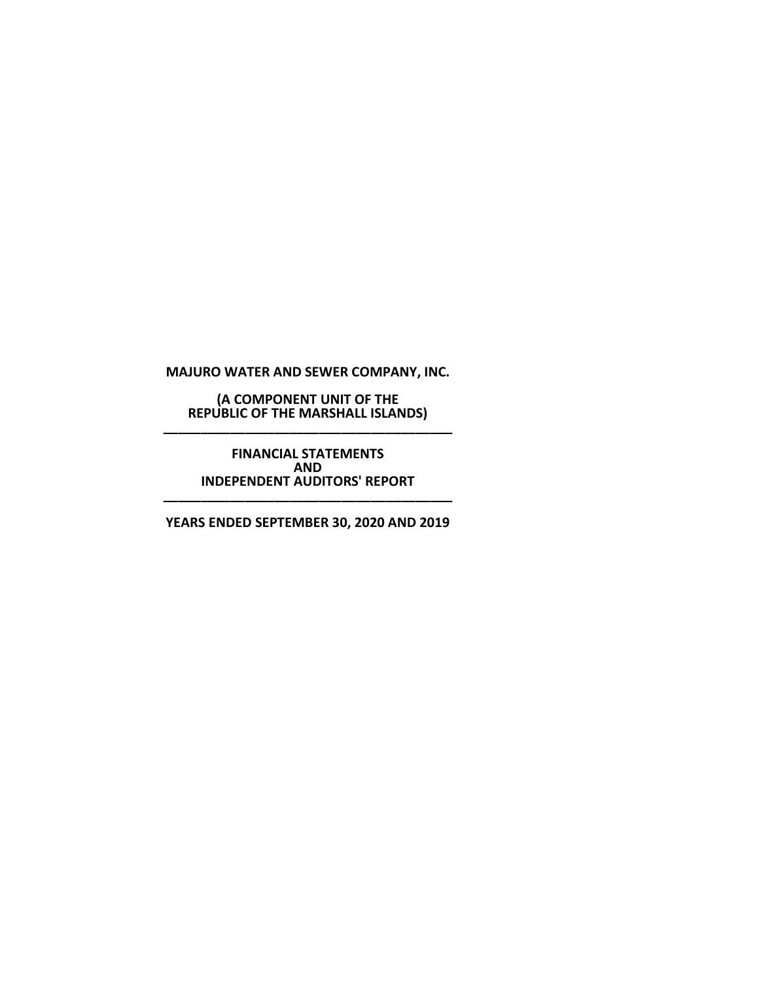# **MAJURO WATER AND SEWER COMPANY, INC.**

**(A COMPONENT UNIT OF THE REPUBLIC OF THE MARSHALL ISLANDS) \_\_\_\_\_\_\_\_\_\_\_\_\_\_\_\_\_\_\_\_\_\_\_\_\_\_\_\_\_\_\_\_\_\_\_\_\_\_\_**

> **FINANCIAL STATEMENTS AND INDEPENDENT AUDITORS' REPORT \_\_\_\_\_\_\_\_\_\_\_\_\_\_\_\_\_\_\_\_\_\_\_\_\_\_\_\_\_\_\_\_\_\_\_\_\_\_\_**

**YEARS ENDED SEPTEMBER 30, 2020 AND 2019**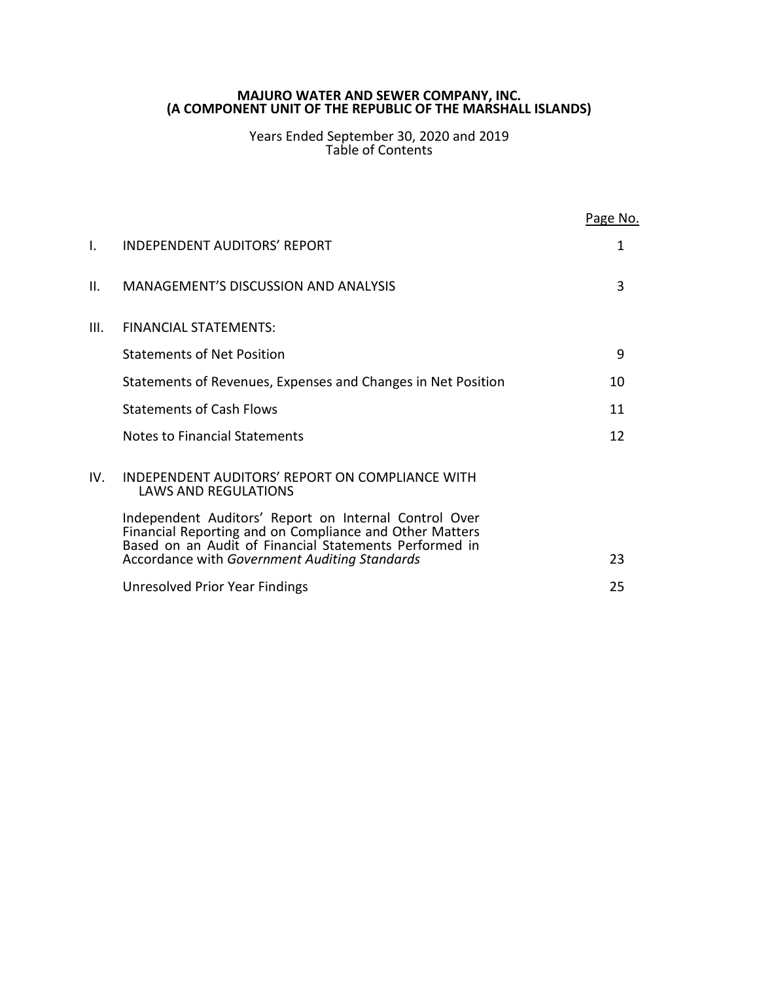Years Ended September 30, 2020 and 2019 Table of Contents

|      |                                                                                                                                                                                                                             | Page No. |
|------|-----------------------------------------------------------------------------------------------------------------------------------------------------------------------------------------------------------------------------|----------|
| ı.   | <b>INDEPENDENT AUDITORS' REPORT</b>                                                                                                                                                                                         | 1        |
| ΙΙ.  | <b>MANAGEMENT'S DISCUSSION AND ANALYSIS</b>                                                                                                                                                                                 | 3        |
| III. | <b>FINANCIAL STATEMENTS:</b>                                                                                                                                                                                                |          |
|      | <b>Statements of Net Position</b>                                                                                                                                                                                           | 9        |
|      | Statements of Revenues, Expenses and Changes in Net Position                                                                                                                                                                | 10       |
|      | <b>Statements of Cash Flows</b>                                                                                                                                                                                             | 11       |
|      | <b>Notes to Financial Statements</b>                                                                                                                                                                                        | 12       |
| IV.  | INDEPENDENT AUDITORS' REPORT ON COMPLIANCE WITH<br><b>LAWS AND REGULATIONS</b>                                                                                                                                              |          |
|      | Independent Auditors' Report on Internal Control Over<br>Financial Reporting and on Compliance and Other Matters<br>Based on an Audit of Financial Statements Performed in<br>Accordance with Government Auditing Standards | 23       |
|      | Unresolved Prior Year Findings                                                                                                                                                                                              | 25       |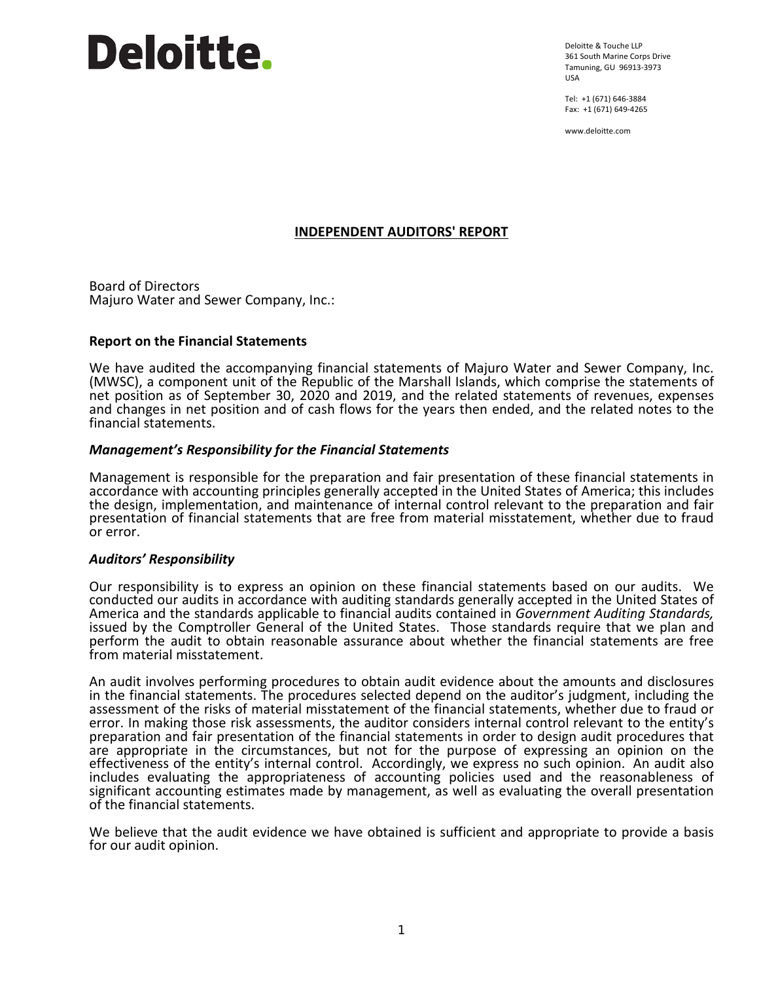# **Deloitte.**

Deloitte & Touche LLP 361 South Marine Corps Drive Tamuning, GU 96913-3973 USA

Tel: +1 (671) 646-3884 Fax: +1 (671) 649-4265

www.deloitte.com

# **INDEPENDENT AUDITORS' REPORT**

Board of Directors Majuro Water and Sewer Company, Inc.:

# **Report on the Financial Statements**

We have audited the accompanying financial statements of Majuro Water and Sewer Company, Inc. (MWSC), a component unit of the Republic of the Marshall Islands, which comprise the statements of net position as of September 30, 2020 and 2019, and the related statements of revenues, expenses and changes in net position and of cash flows for the years then ended, and the related notes to the financial statements.

# *Management's Responsibility for the Financial Statements*

Management is responsible for the preparation and fair presentation of these financial statements in accordance with accounting principles generally accepted in the United States of America; this includes the design, implementation, and maintenance of internal control relevant to the preparation and fair presentation of financial statements that are free from material misstatement, whether due to fraud or error.

# *Auditors' Responsibility*

Our responsibility is to express an opinion on these financial statements based on our audits. We conducted our audits in accordance with auditing standards generally accepted in the United States of America and the standards applicable to financial audits contained in *Government Auditing Standards,* issued by the Comptroller General of the United States. Those standards require that we plan and perform the audit to obtain reasonable assurance about whether the financial statements are free from material misstatement.

An audit involves performing procedures to obtain audit evidence about the amounts and disclosures in the financial statements. The procedures selected depend on the auditor's judgment, including the assessment of the risks of material misstatement of the financial statements, whether due to fraud or error. In making those risk assessments, the auditor considers internal control relevant to the entity's preparation and fair presentation of the financial statements in order to design audit procedures that are appropriate in the circumstances, but not for the purpose of expressing an opinion on the effectiveness of the entity's internal control. Accordingly, we express no such opinion. An audit also includes evaluating the appropriateness of accounting policies used and the reasonableness of significant accounting estimates made by management, as well as evaluating the overall presentation of the financial statements.

We believe that the audit evidence we have obtained is sufficient and appropriate to provide a basis for our audit opinion.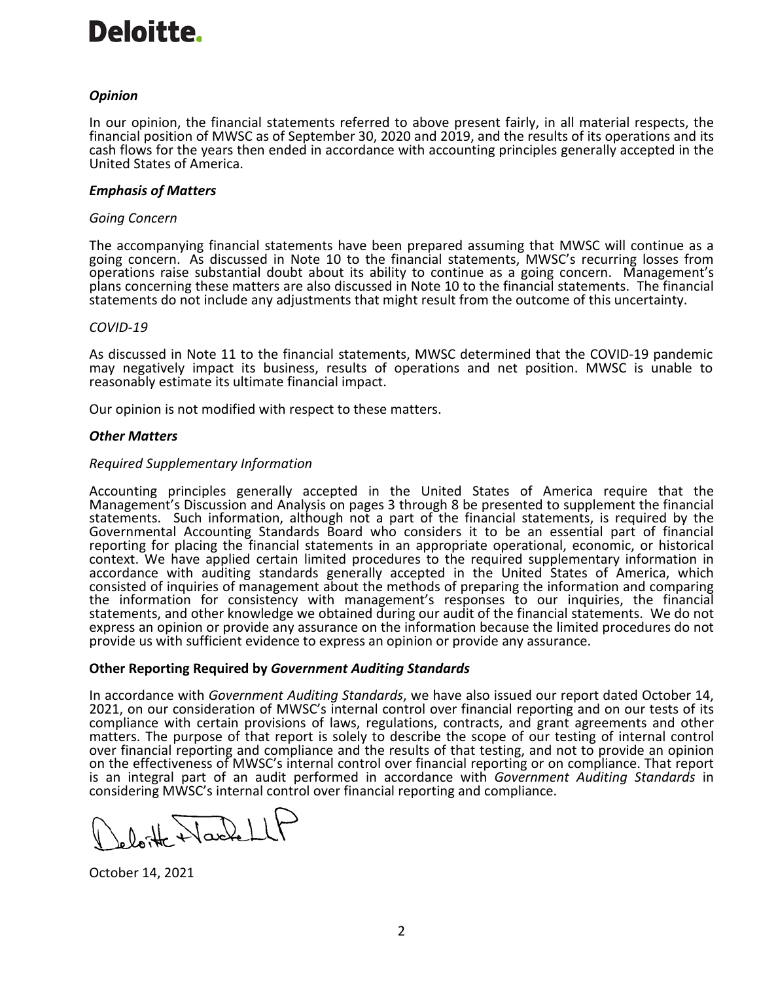# Deloitte.

# *Opinion*

In our opinion, the financial statements referred to above present fairly, in all material respects, the financial position of MWSC as of September 30, 2020 and 2019, and the results of its operations and its cash flows for the years then ended in accordance with accounting principles generally accepted in the United States of America.

# *Emphasis of Matters*

#### *Going Concern*

The accompanying financial statements have been prepared assuming that MWSC will continue as a going concern. As discussed in Note 10 to the financial statements, MWSC's recurring losses from operations raise substantial doubt about its ability to continue as a going concern. Management's plans concerning these matters are also discussed in Note 10 to the financial statements. The financial statements do not include any adjustments that might result from the outcome of this uncertainty.

# *COVID-19*

As discussed in Note 11 to the financial statements, MWSC determined that the COVID-19 pandemic may negatively impact its business, results of operations and net position. MWSC is unable to reasonably estimate its ultimate financial impact.

Our opinion is not modified with respect to these matters.

# *Other Matters*

# *Required Supplementary Information*

Accounting principles generally accepted in the United States of America require that the Management's Discussion and Analysis on pages 3 through 8 be presented to supplement the financial statements. Such information, although not a part of the financial statements, is required by the Governmental Accounting Standards Board who considers it to be an essential part of financial reporting for placing the financial statements in an appropriate operational, economic, or historical context. We have applied certain limited procedures to the required supplementary information in accordance with auditing standards generally accepted in the United States of America, which consisted of inquiries of management about the methods of preparing the information and comparing the information for consistency with management's responses to our inquiries, the financial statements, and other knowledge we obtained during our audit of the financial statements. We do not express an opinion or provide any assurance on the information because the limited procedures do not provide us with sufficient evidence to express an opinion or provide any assurance.

# **Other Reporting Required by** *Government Auditing Standards*

In accordance with *Government Auditing Standards*, we have also issued our report dated October 14, 2021, on our consideration of MWSC's internal control over financial reporting and on our tests of its compliance with certain provisions of laws, regulations, contracts, and grant agreements and other matters. The purpose of that report is solely to describe the scope of our testing of internal control over financial reporting and compliance and the results of that testing, and not to provide an opinion on the effectiveness of MWSC's internal control over financial reporting or on compliance. That report is an integral part of an audit performed in accordance with *Government Auditing Standards* in considering MWSC's internal control over financial reporting and compliance.

Jackel

October 14, 2021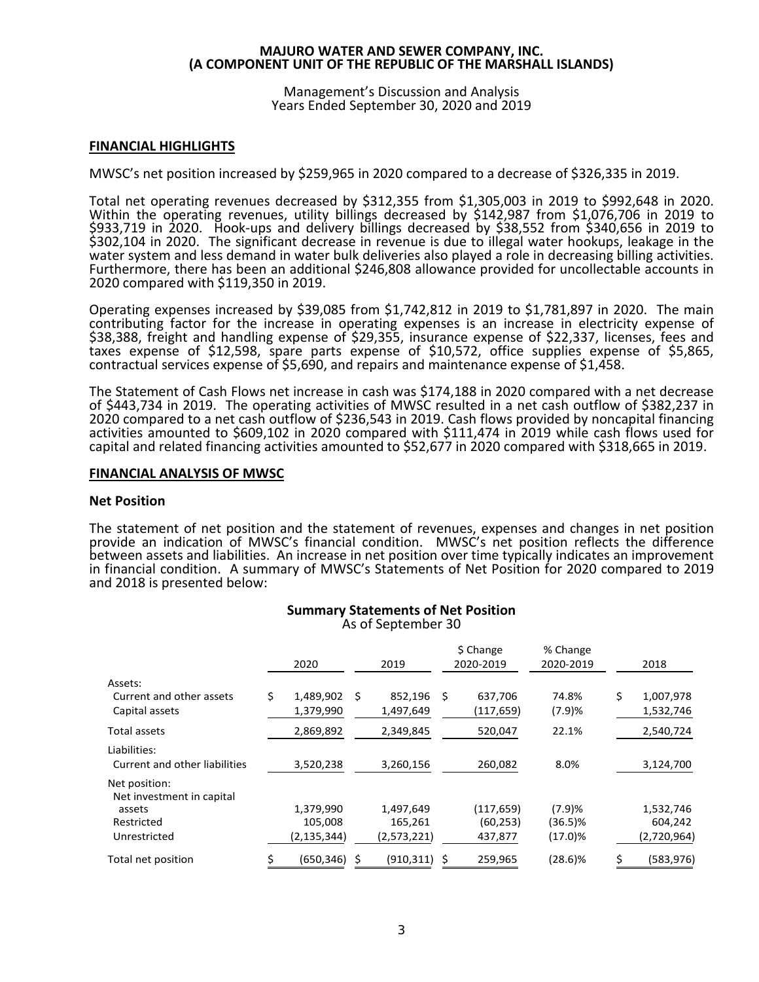Management's Discussion and Analysis Years Ended September 30, 2020 and 2019

# **FINANCIAL HIGHLIGHTS**

MWSC's net position increased by \$259,965 in 2020 compared to a decrease of \$326,335 in 2019.

Total net operating revenues decreased by \$312,355 from \$1,305,003 in 2019 to \$992,648 in 2020. Within the operating revenues, utility billings decreased by \$142,987 from \$1,076,706 in 2019 to \$933,719 in 2020. Hook-ups and delivery billings decreased by \$38,552 from \$340,656 in 2019 to<br>\$302,104 in 2020. The significant decrease in revenue is due to illegal water hookups, leakage in the water system and less demand in water bulk deliveries also played a role in decreasing billing activities.<br>Furthermore, there has been an additional \$246,808 allowance provided for uncollectable accounts in 2020 compared with \$119,350 in 2019.

Operating expenses increased by \$39,085 from \$1,742,812 in 2019 to \$1,781,897 in 2020. The main contributing factor for the increase in operating expenses is an increase in electricity expense of \$38.388. freight and handling expense of \$29,355, insurance expense of \$22,337, licenses, fees and taxes expense of \$12,598, spare parts expense of \$10,572, office supplies expense of \$5,865, contractual services expense of \$5,690, and repairs and maintenance expense of \$1,458.

The Statement of Cash Flows net increase in cash was \$174,188 in 2020 compared with a net decrease of \$443,734 in 2019. The operating activities of MWSC resulted in a net cash outflow of \$382,237 in 2020 compared to a net cash outflow of \$236,543 in 2019. Cash flows provided by noncapital financing activities amounted to \$609,102 in 2020 compared with \$111,474 in 2019 while cash flows used for capital and related financing activities amounted to \$52,677 in 2020 compared with \$318,665 in 2019.

#### **FINANCIAL ANALYSIS OF MWSC**

#### **Net Position**

The statement of net position and the statement of revenues, expenses and changes in net position provide an indication of MWSC's financial condition. MWSC's net position reflects the difference between assets and liabilities. An increase in net position over time typically indicates an improvement in financial condition. A summary of MWSC's Statements of Net Position for 2020 compared to 2019 and 2018 is presented below:

|                                            | 2020            |     | 2019        |   | \$ Change<br>2020-2019 | % Change<br>2020-2019 | 2018            |
|--------------------------------------------|-----------------|-----|-------------|---|------------------------|-----------------------|-----------------|
| Assets:                                    |                 |     |             |   |                        |                       |                 |
| Current and other assets                   | \$<br>1,489,902 | - S | 852,196     | Ŝ | 637,706                | 74.8%                 | \$<br>1,007,978 |
| Capital assets                             | 1,379,990       |     | 1,497,649   |   | (117,659)              | (7.9)%                | 1,532,746       |
| Total assets                               | 2,869,892       |     | 2,349,845   |   | 520,047                | 22.1%                 | 2,540,724       |
| Liabilities:                               |                 |     |             |   |                        |                       |                 |
| Current and other liabilities              | 3,520,238       |     | 3,260,156   |   | 260,082                | 8.0%                  | 3,124,700       |
| Net position:<br>Net investment in capital |                 |     |             |   |                        |                       |                 |
| assets                                     | 1,379,990       |     | 1,497,649   |   | (117, 659)             | (7.9)%                | 1,532,746       |
| Restricted                                 | 105,008         |     | 165,261     |   | (60, 253)              | $(36.5)\%$            | 604,242         |
| Unrestricted                               | (2, 135, 344)   |     | (2,573,221) |   | 437,877                | $(17.0)\%$            | (2,720,964)     |
| Total net position                         | (650,346)       |     | (910, 311)  |   | 259,965                | $(28.6)\%$            | (583, 976)      |

# **Summary Statements of Net Position**

As of September 30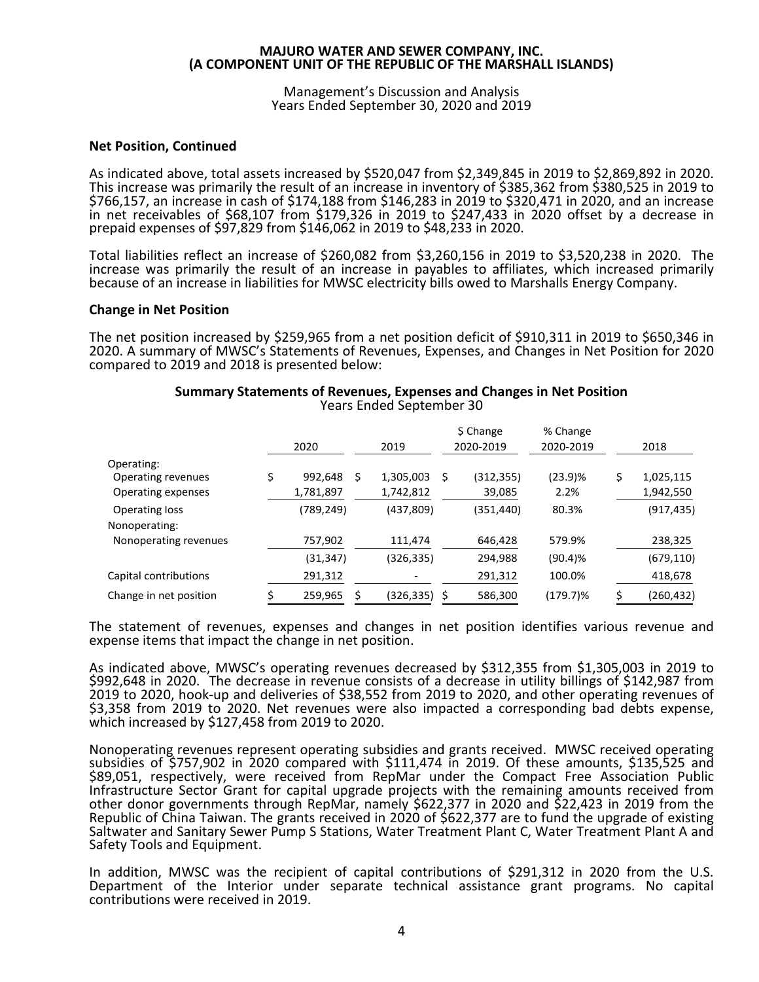Management's Discussion and Analysis Years Ended September 30, 2020 and 2019

#### **Net Position, Continued**

As indicated above, total assets increased by \$520,047 from \$2,349,845 in 2019 to \$2,869,892 in 2020. \$766,157, an increase in cash of \$174,188 from \$146,283 in 2019 to \$320,471 in 2020, and an increase in net receivables of \$68,107 from \$179,326 in 2019 to \$247,433 in 2020 offset by a decrease in prepaid expenses of \$97,829 from \$146,062 in 2019 to \$48,233 in 2020.

Total liabilities reflect an increase of \$260,082 from \$3,260,156 in 2019 to \$3,520,238 in 2020. The increase was primarily the result of an increase in payables to affiliates, which increased primarily because of an increase in liabilities for MWSC electricity bills owed to Marshalls Energy Company.

# **Change in Net Position**

The net position increased by \$259,965 from a net position deficit of \$910,311 in 2019 to \$650,346 in 2020. A summary of MWSC's Statements of Revenues, Expenses, and Changes in Net Position for 2020 compared to 2019 and 2018 is presented below:

#### **Summary Statements of Revenues, Expenses and Changes in Net Position** Years Ended September 30

|                        |   |           |   |            |   | \$ Change  | % Change    |   |            |
|------------------------|---|-----------|---|------------|---|------------|-------------|---|------------|
|                        |   | 2020      |   | 2019       |   | 2020-2019  | 2020-2019   |   | 2018       |
| Operating:             |   |           |   |            |   |            |             |   |            |
| Operating revenues     | S | 992,648   | S | 1,305,003  | S | (312, 355) | $(23.9)\%$  | Ş | 1,025,115  |
| Operating expenses     |   | 1,781,897 |   | 1,742,812  |   | 39,085     | 2.2%        |   | 1,942,550  |
| Operating loss         |   | (789,249) |   | (437, 809) |   | (351, 440) | 80.3%       |   | (917, 435) |
| Nonoperating:          |   |           |   |            |   |            |             |   |            |
| Nonoperating revenues  |   | 757,902   |   | 111,474    |   | 646,428    | 579.9%      |   | 238,325    |
|                        |   | (31,347)  |   | (326, 335) |   | 294,988    | (90.4)%     |   | (679, 110) |
| Capital contributions  |   | 291,312   |   |            |   | 291,312    | 100.0%      |   | 418,678    |
| Change in net position |   | 259,965   |   | (326,335)  |   | 586,300    | $(179.7)\%$ |   | (260, 432) |

The statement of revenues, expenses and changes in net position identifies various revenue and expense items that impact the change in net position.

As indicated above, MWSC's operating revenues decreased by \$312,355 from \$1,305,003 in 2019 to<br>\$992,648 in 2020. The decrease in revenue consists of a decrease in utility billings of \$142,987 from 2019 to 2020, hook-up and deliveries of \$38,552 from 2019 to 2020, and other operating revenues of<br>\$3,358 from 2019 to 2020. Net revenues were also impacted a corresponding bad debts expense, which increased by \$127,458 from 2019 to 2020.

Nonoperating revenues represent operating subsidies and grants received. MWSC received operating subsidies of \$757,902 in 2020 compared with \$111,474 in 2019. Of these amounts, \$135,525 and \$89,051, respectively, were rece Infrastructure Sector Grant for capital upgrade projects with the remaining amounts received from other donor governments through RepMar, namely \$622,377 in 2020 and \$22,423 in 2019 from the Republic of China Taiwan. The grants received in 2020 of \$622,377 are to fund the upgrade of existing Saltwater and Sanitary Sewer Pump S Stations, Water Treatment Plant C, Water Treatment Plant A and Safety Tools and Equipment.

In addition, MWSC was the recipient of capital contributions of \$291,312 in 2020 from the U.S. Department of the Interior under separate technical assistance grant programs. No capital contributions were received in 2019.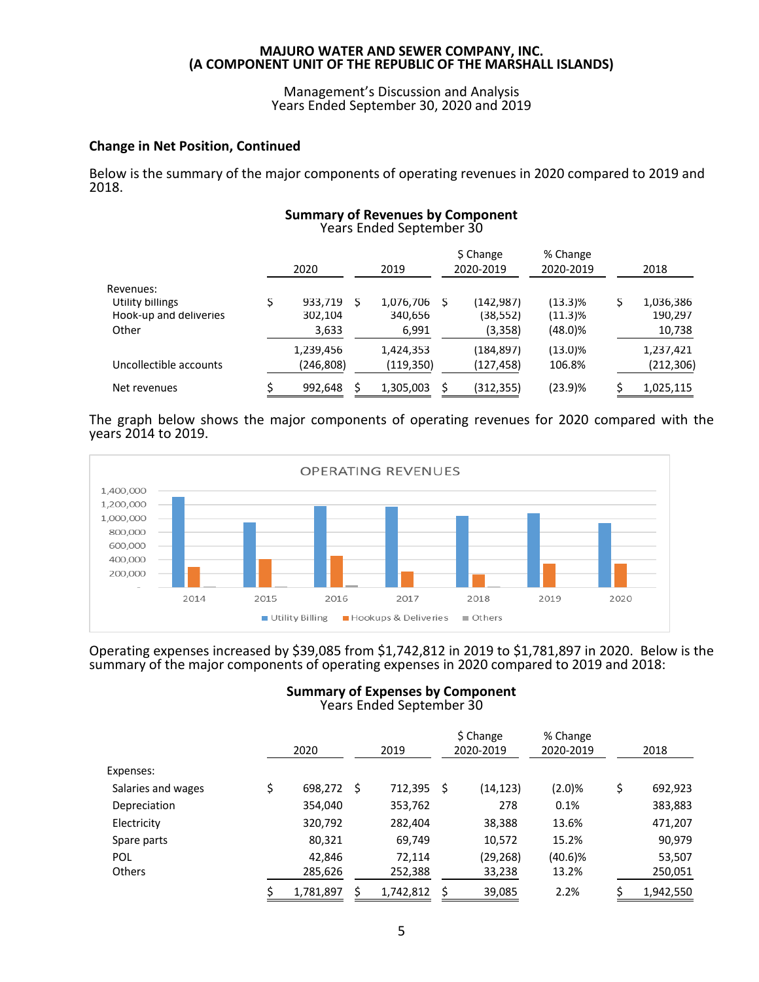Management's Discussion and Analysis Years Ended September 30, 2020 and 2019

# **Change in Net Position, Continued**

Below is the summary of the major components of operating revenues in 2020 compared to 2019 and 2018.

| <b>Summary of Revenues by Component</b><br>Years Ended September 30 |  |
|---------------------------------------------------------------------|--|
|                                                                     |  |

|                                                                  |   | 2020                        |   | 2019                          | S Change<br>2020-2019              | % Change<br>2020-2019                  |   | 2018                           |
|------------------------------------------------------------------|---|-----------------------------|---|-------------------------------|------------------------------------|----------------------------------------|---|--------------------------------|
| Revenues:<br>Utility billings<br>Hook-up and deliveries<br>Other | S | 933,719<br>302,104<br>3,633 | S | 1,076,706<br>340,656<br>6,991 | (142,987)<br>(38, 552)<br>(3, 358) | $(13.3)\%$<br>$(11.3)\%$<br>$(48.0)\%$ | S | 1,036,386<br>190,297<br>10,738 |
| Uncollectible accounts                                           |   | 1,239,456<br>(246,808)      |   | 1,424,353<br>(119,350)        | (184,897)<br>(127,458)             | $(13.0)\%$<br>106.8%                   |   | 1,237,421<br>(212,306)         |
| Net revenues                                                     |   | 992,648                     |   | 1,305,003                     | (312,355)                          | (23.9)%                                |   | 1,025,115                      |

The graph below shows the major components of operating revenues for 2020 compared with the years 2014 to 2019.



Operating expenses increased by \$39,085 from \$1,742,812 in 2019 to \$1,781,897 in 2020. Below is the summary of the major components of operating expenses in 2020 compared to 2019 and 2018:

#### **Summary of Expenses by Component** Years Ended September 30

|                    | 2020          |     | 2019      |    | \$ Change<br>2020-2019 | % Change<br>2020-2019 | 2018          |
|--------------------|---------------|-----|-----------|----|------------------------|-----------------------|---------------|
| Expenses:          |               |     |           |    |                        |                       |               |
| Salaries and wages | \$<br>698,272 | - S | 712,395   | -S | (14,123)               | (2.0)%                | \$<br>692,923 |
| Depreciation       | 354,040       |     | 353,762   |    | 278                    | 0.1%                  | 383,883       |
| Electricity        | 320,792       |     | 282,404   |    | 38,388                 | 13.6%                 | 471,207       |
| Spare parts        | 80,321        |     | 69,749    |    | 10,572                 | 15.2%                 | 90,979        |
| POL                | 42,846        |     | 72.114    |    | (29, 268)              | (40.6)%               | 53,507        |
| <b>Others</b>      | 285,626       |     | 252,388   |    | 33,238                 | 13.2%                 | 250,051       |
|                    | 1,781,897     |     | 1,742,812 |    | 39,085                 | 2.2%                  | 1,942,550     |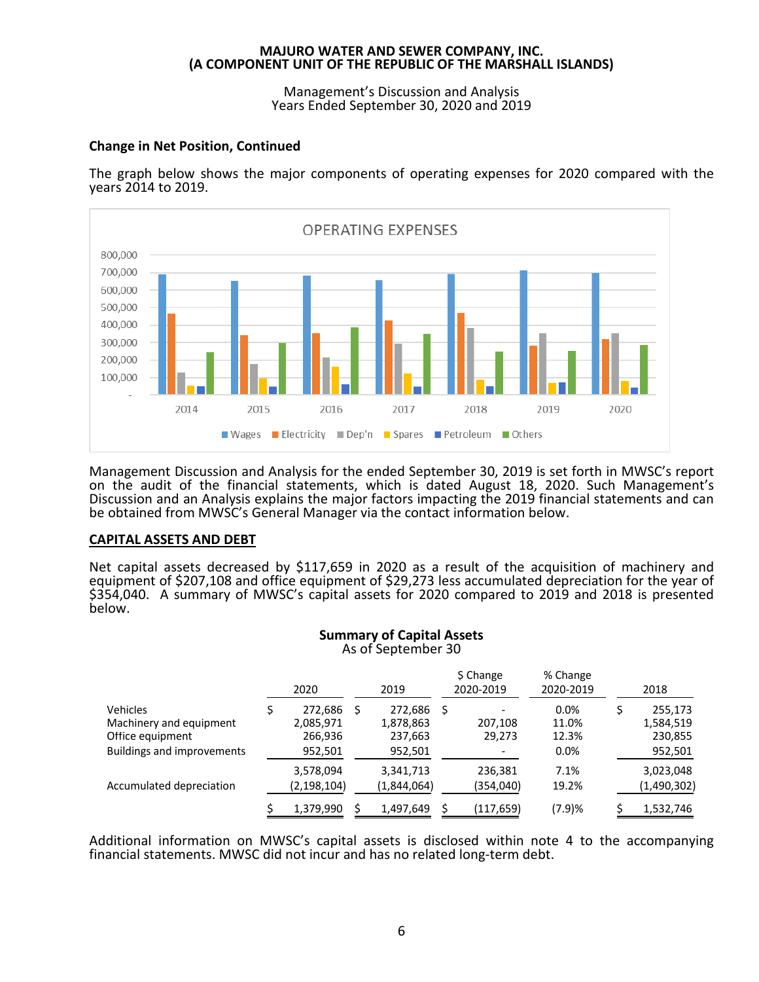Management's Discussion and Analysis Years Ended September 30, 2020 and 2019

# **Change in Net Position, Continued**

The graph below shows the major components of operating expenses for 2020 compared with the years 2014 to 2019.



Management Discussion and Analysis for the ended September 30, 2019 is set forth in MWSC's report on the audit of the financial statements, which is dated August 18, 2020. Such Management's Discussion and an Analysis explains the major factors impacting the 2019 financial statements and can be obtained from MWSC's General Manager via the contact information below.

# **CAPITAL ASSETS AND DEBT**

Net capital assets decreased by \$117,659 in 2020 as a result of the acquisition of machinery and equipment of \$207,108 and office equipment of \$29,273 less accumulated depreciation for the year of \$354,040. A summary of MW below.

#### **Summary of Capital Assets** As of September 30

|                                   | 2020        | 2019        | S Change<br>2020-2019    | % Change<br>2020-2019 | 2018        |
|-----------------------------------|-------------|-------------|--------------------------|-----------------------|-------------|
| Vehicles                          | 272,686     | 272,686 S   |                          | 0.0%                  | 255,173     |
| Machinery and equipment           | 2,085,971   | 1,878,863   | 207,108                  | 11.0%                 | 1,584,519   |
| Office equipment                  | 266,936     | 237,663     | 29,273                   | 12.3%                 | 230,855     |
| <b>Buildings and improvements</b> | 952,501     | 952,501     | $\overline{\phantom{a}}$ | 0.0%                  | 952,501     |
|                                   | 3,578,094   | 3,341,713   | 236,381                  | 7.1%                  | 3,023,048   |
| Accumulated depreciation          | (2,198,104) | (1,844,064) | (354, 040)               | 19.2%                 | (1,490,302) |
|                                   | 1,379,990   | 1,497,649   | (117, 659)               | (7.9)%                | 1,532,746   |

Additional information on MWSC's capital assets is disclosed within note 4 to the accompanying financial statements. MWSC did not incur and has no related long-term debt.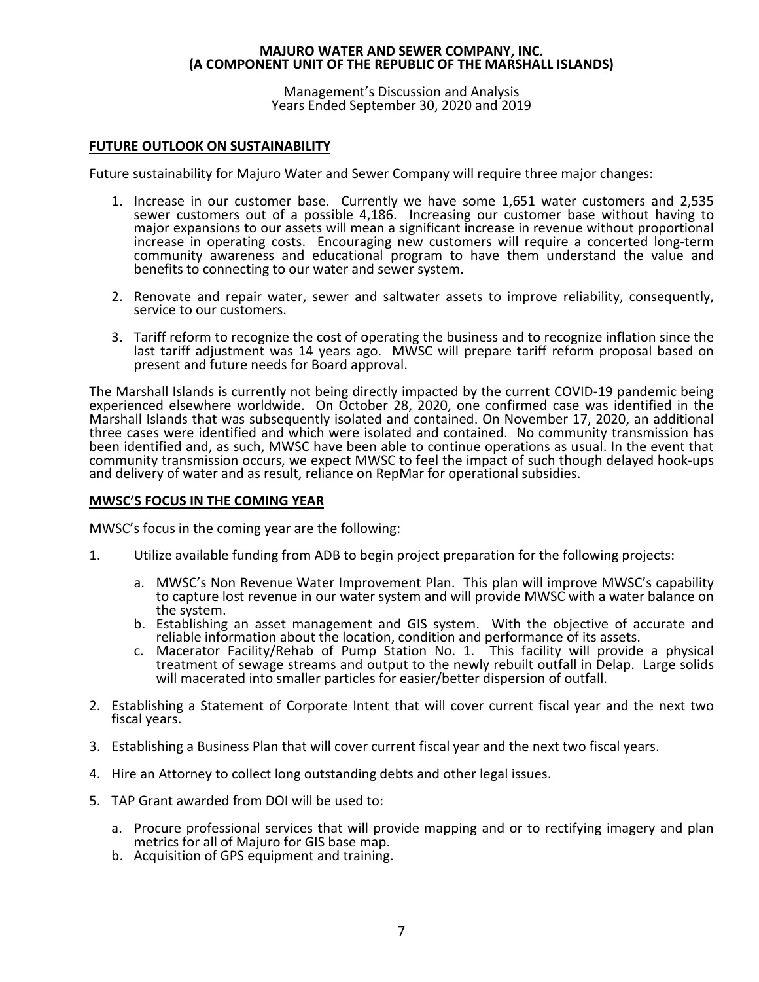Management's Discussion and Analysis Years Ended September 30, 2020 and 2019

# **FUTURE OUTLOOK ON SUSTAINABILITY**

Future sustainability for Majuro Water and Sewer Company will require three major changes:

- 1. Increase in our customer base. Currently we have some 1,651 water customers and 2,535 sewer customers out of a possible 4,186. Increasing our customer base without having to major expansions to our assets will mean a significant increase in revenue without proportional increase in operating costs. Encouraging new customers will require a concerted long-term community awareness and educational program to have them understand the value and benefits to connecting to our water and sewer system.
- 2. Renovate and repair water, sewer and saltwater assets to improve reliability, consequently, service to our customers.
- 3. Tariff reform to recognize the cost of operating the business and to recognize inflation since the last tariff adjustment was 14 years ago. MWSC will prepare tariff reform proposal based on present and future needs for Board approval.

The Marshall Islands is currently not being directly impacted by the current COVID-19 pandemic being experienced elsewhere worldwide. On October 28, 2020, one confirmed case was identified in the Marshall Islands that was subsequently isolated and contained. On November 17, 2020, an additional three cases were identified and which were isolated and contained. No community transmission has been identified and, as such, MWSC have been able to continue operations as usual. In the event that community transmission occurs, we expect MWSC to feel the impact of such though delayed hook-ups and delivery of water and as result, reliance on RepMar for operational subsidies.

# **MWSC'S FOCUS IN THE COMING YEAR**

MWSC's focus in the coming year are the following:

- 1. Utilize available funding from ADB to begin project preparation for the following projects:
	- a. MWSC's Non Revenue Water Improvement Plan. This plan will improve MWSC's capability to capture lost revenue in our water system and will provide MWSC with a water balance on the system.
	- b. Establishing an asset management and GIS system. With the objective of accurate and reliable information about the location, condition and performance of its assets.
	- c. Macerator Facility/Rehab of Pump Station No. 1. This facility will provide a physical treatment of sewage streams and output to the newly rebuilt outfall in Delap. Large solids will macerated into smaller particles for easier/better dispersion of outfall.
- 2. Establishing a Statement of Corporate Intent that will cover current fiscal year and the next two fiscal years.
- 3. Establishing a Business Plan that will cover current fiscal year and the next two fiscal years.
- 4. Hire an Attorney to collect long outstanding debts and other legal issues.
- 5. TAP Grant awarded from DOI will be used to:
	- a. Procure professional services that will provide mapping and or to rectifying imagery and plan metrics for all of Majuro for GIS base map.
	- b. Acquisition of GPS equipment and training.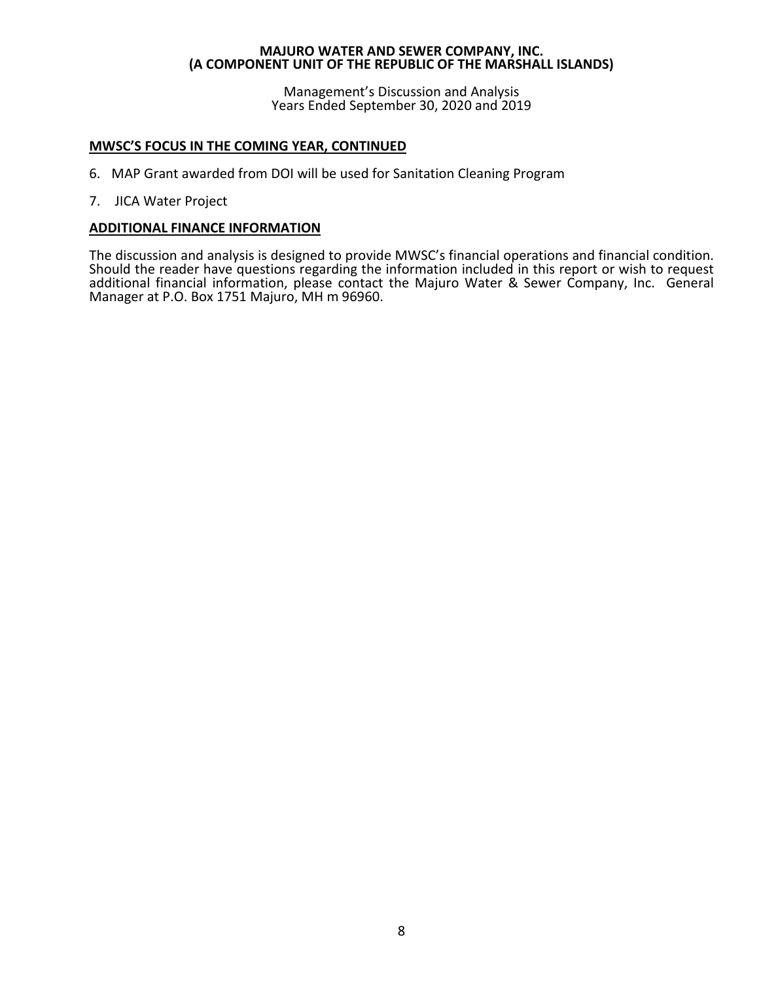Management's Discussion and Analysis Years Ended September 30, 2020 and 2019

# **MWSC'S FOCUS IN THE COMING YEAR, CONTINUED**

- 6. MAP Grant awarded from DOI will be used for Sanitation Cleaning Program
- 7. JICA Water Project

# **ADDITIONAL FINANCE INFORMATION**

The discussion and analysis is designed to provide MWSC's financial operations and financial condition. Should the reader have questions regarding the information included in this report or wish to request additional financial information, please contact the Majuro Water & Sewer Company, Inc. General Manager at P.O. Box 1751 Majuro, MH m 96960.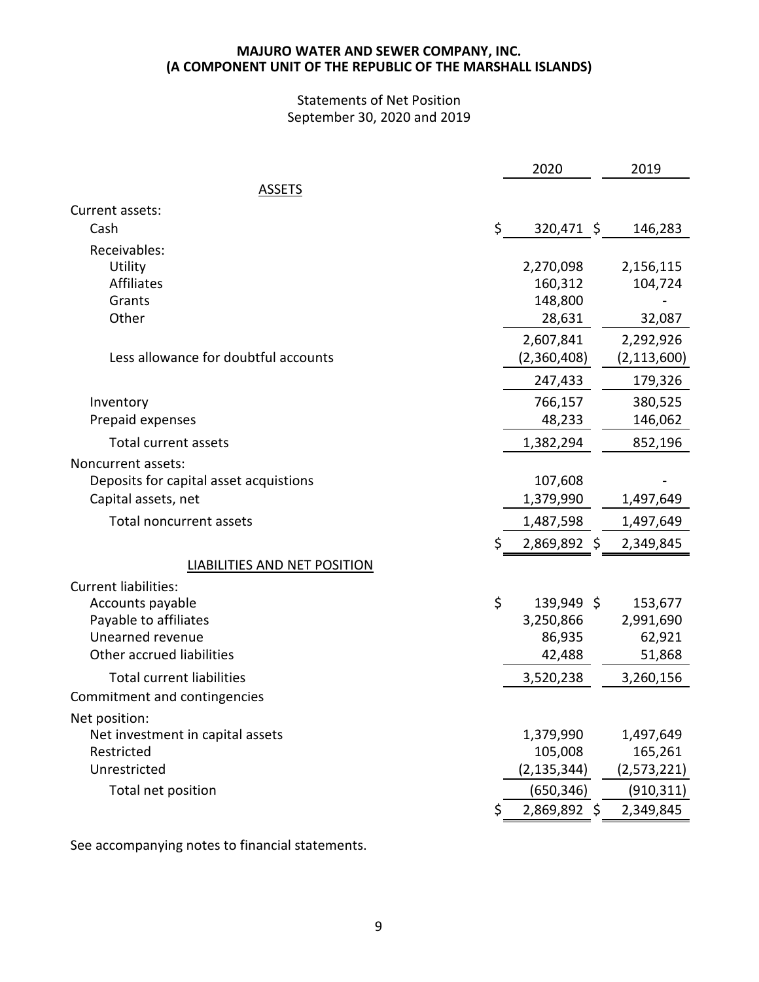# Statements of Net Position September 30, 2020 and 2019

|                                        | 2020               | 2019                      |
|----------------------------------------|--------------------|---------------------------|
| <b>ASSETS</b>                          |                    |                           |
| Current assets:                        |                    |                           |
| Cash                                   | \$                 | 320,471 \$<br>146,283     |
| Receivables:                           |                    |                           |
| Utility                                | 2,270,098          | 2,156,115                 |
| <b>Affiliates</b>                      | 160,312            | 104,724                   |
| Grants                                 | 148,800            |                           |
| Other                                  | 28,631             | 32,087                    |
|                                        | 2,607,841          | 2,292,926                 |
| Less allowance for doubtful accounts   | (2,360,408)        | (2, 113, 600)             |
|                                        | 247,433            | 179,326                   |
| Inventory                              | 766,157            | 380,525                   |
| Prepaid expenses                       | 48,233             | 146,062                   |
| Total current assets                   | 1,382,294          | 852,196                   |
| Noncurrent assets:                     |                    |                           |
| Deposits for capital asset acquistions | 107,608            |                           |
| Capital assets, net                    | 1,379,990          | 1,497,649                 |
| <b>Total noncurrent assets</b>         | 1,487,598          | 1,497,649                 |
|                                        | \$.                | 2,349,845<br>2,869,892 \$ |
| <b>LIABILITIES AND NET POSITION</b>    |                    |                           |
| <b>Current liabilities:</b>            |                    |                           |
| Accounts payable                       | \$                 | 139,949 \$<br>153,677     |
| Payable to affiliates                  | 3,250,866          | 2,991,690                 |
| Unearned revenue                       | 86,935             | 62,921                    |
| Other accrued liabilities              | 42,488             | 51,868                    |
| <b>Total current liabilities</b>       | 3,520,238          | 3,260,156                 |
| Commitment and contingencies           |                    |                           |
| Net position:                          |                    |                           |
| Net investment in capital assets       | 1,379,990          | 1,497,649                 |
| Restricted                             | 105,008            | 165,261                   |
| Unrestricted                           | (2, 135, 344)      | (2,573,221)               |
| Total net position                     | (650, 346)         | (910, 311)                |
|                                        | 2,869,892 \$<br>Ş. | 2,349,845                 |

See accompanying notes to financial statements.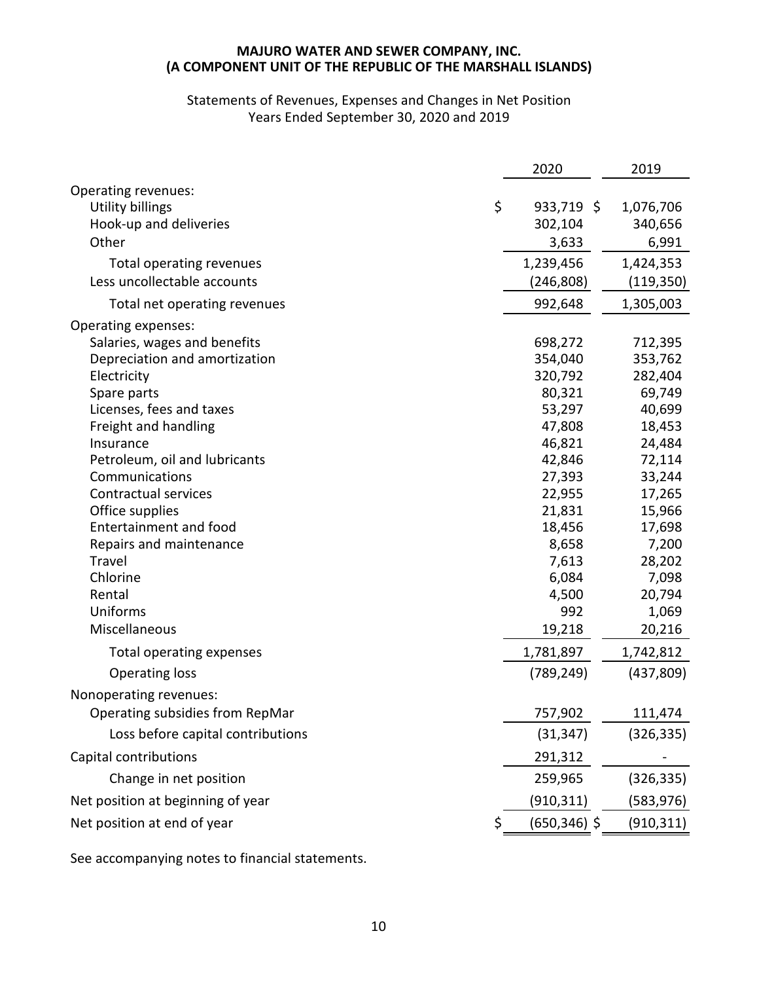# Statements of Revenues, Expenses and Changes in Net Position Years Ended September 30, 2020 and 2019

|                                   | 2020                   | 2019       |
|-----------------------------------|------------------------|------------|
| Operating revenues:               |                        |            |
| \$<br><b>Utility billings</b>     | $933,719$ \$           | 1,076,706  |
| Hook-up and deliveries            | 302,104                | 340,656    |
| Other                             | 3,633                  | 6,991      |
| Total operating revenues          | 1,239,456              | 1,424,353  |
| Less uncollectable accounts       | (246,808)              | (119, 350) |
| Total net operating revenues      | 992,648                | 1,305,003  |
| Operating expenses:               |                        |            |
| Salaries, wages and benefits      | 698,272                | 712,395    |
| Depreciation and amortization     | 354,040                | 353,762    |
| Electricity                       | 320,792                | 282,404    |
| Spare parts                       | 80,321                 | 69,749     |
| Licenses, fees and taxes          | 53,297                 | 40,699     |
| Freight and handling              | 47,808                 | 18,453     |
| Insurance                         | 46,821                 | 24,484     |
| Petroleum, oil and lubricants     | 42,846                 | 72,114     |
| Communications                    | 27,393                 | 33,244     |
| Contractual services              | 22,955                 | 17,265     |
| Office supplies                   | 21,831                 | 15,966     |
| <b>Entertainment and food</b>     | 18,456                 | 17,698     |
| Repairs and maintenance           | 8,658                  | 7,200      |
| Travel                            | 7,613                  | 28,202     |
| Chlorine                          | 6,084                  | 7,098      |
| Rental                            | 4,500                  | 20,794     |
| Uniforms                          | 992                    | 1,069      |
| Miscellaneous                     | 19,218                 | 20,216     |
| Total operating expenses          | 1,781,897              | 1,742,812  |
| <b>Operating loss</b>             | (789, 249)             | (437, 809) |
| Nonoperating revenues:            |                        |            |
| Operating subsidies from RepMar   | 757,902                | 111,474    |
| Loss before capital contributions | (31, 347)              | (326, 335) |
| Capital contributions             | 291,312                |            |
| Change in net position            | 259,965                | (326, 335) |
| Net position at beginning of year | (910, 311)             | (583, 976) |
| Net position at end of year       | $(650, 346)$ \$<br>\$. | (910, 311) |

See accompanying notes to financial statements.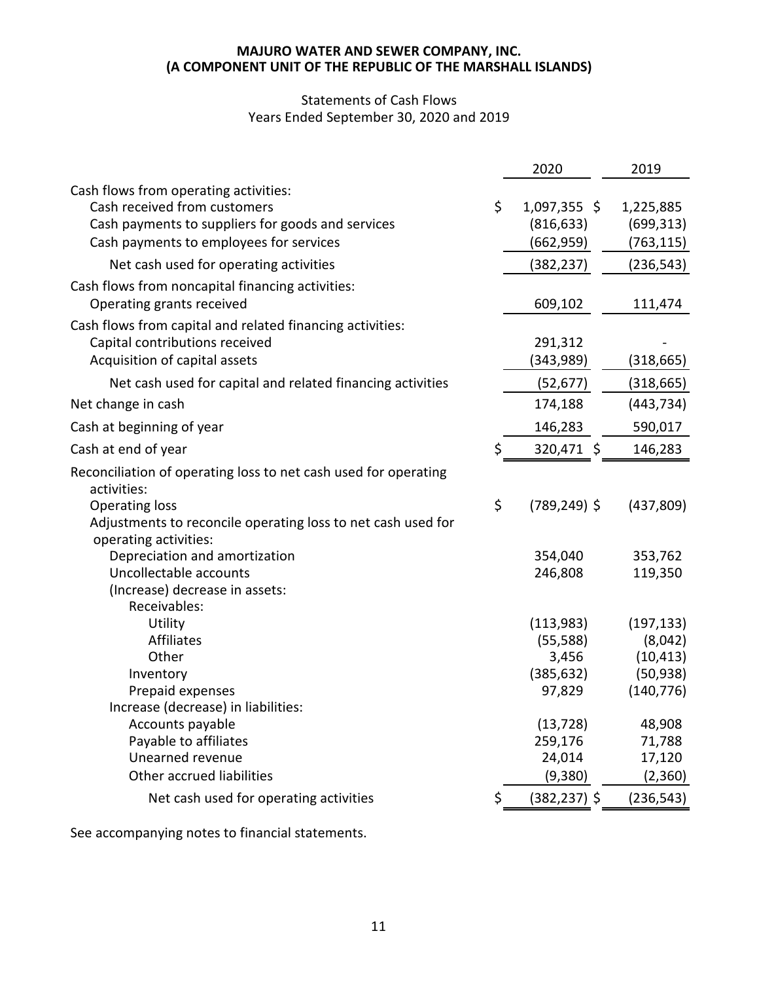# Statements of Cash Flows Years Ended September 30, 2020 and 2019

|                                                                                             | 2020                  | 2019       |
|---------------------------------------------------------------------------------------------|-----------------------|------------|
| Cash flows from operating activities:<br>Cash received from customers                       | \$<br>1,097,355 \$    | 1,225,885  |
| Cash payments to suppliers for goods and services                                           | (816, 633)            | (699, 313) |
| Cash payments to employees for services                                                     | (662, 959)            | (763, 115) |
| Net cash used for operating activities                                                      | (382, 237)            | (236, 543) |
| Cash flows from noncapital financing activities:                                            |                       |            |
| Operating grants received                                                                   | 609,102               | 111,474    |
| Cash flows from capital and related financing activities:<br>Capital contributions received | 291,312               |            |
| Acquisition of capital assets                                                               | (343,989)             | (318, 665) |
| Net cash used for capital and related financing activities                                  | (52, 677)             | (318, 665) |
| Net change in cash                                                                          | 174,188               | (443, 734) |
| Cash at beginning of year                                                                   | 146,283               | 590,017    |
| Cash at end of year                                                                         | \$<br>320,471 \$      | 146,283    |
| Reconciliation of operating loss to net cash used for operating<br>activities:              |                       |            |
| <b>Operating loss</b>                                                                       | \$<br>$(789, 249)$ \$ | (437, 809) |
| Adjustments to reconcile operating loss to net cash used for<br>operating activities:       |                       |            |
| Depreciation and amortization                                                               | 354,040               | 353,762    |
| Uncollectable accounts                                                                      | 246,808               | 119,350    |
| (Increase) decrease in assets:                                                              |                       |            |
| Receivables:                                                                                |                       |            |
| Utility                                                                                     | (113,983)             | (197, 133) |
| <b>Affiliates</b>                                                                           | (55, 588)             | (8,042)    |
| Other                                                                                       | 3,456                 | (10, 413)  |
| Inventory                                                                                   | (385, 632)            | (50, 938)  |
| Prepaid expenses                                                                            | 97,829                | (140, 776) |
| Increase (decrease) in liabilities:                                                         |                       |            |
| Accounts payable                                                                            | (13, 728)             | 48,908     |
| Payable to affiliates                                                                       | 259,176               | 71,788     |
| Unearned revenue                                                                            | 24,014                | 17,120     |
| Other accrued liabilities                                                                   | (9,380)               | (2,360)    |
| Net cash used for operating activities                                                      | \$<br>$(382, 237)$ \$ | (236, 543) |

See accompanying notes to financial statements.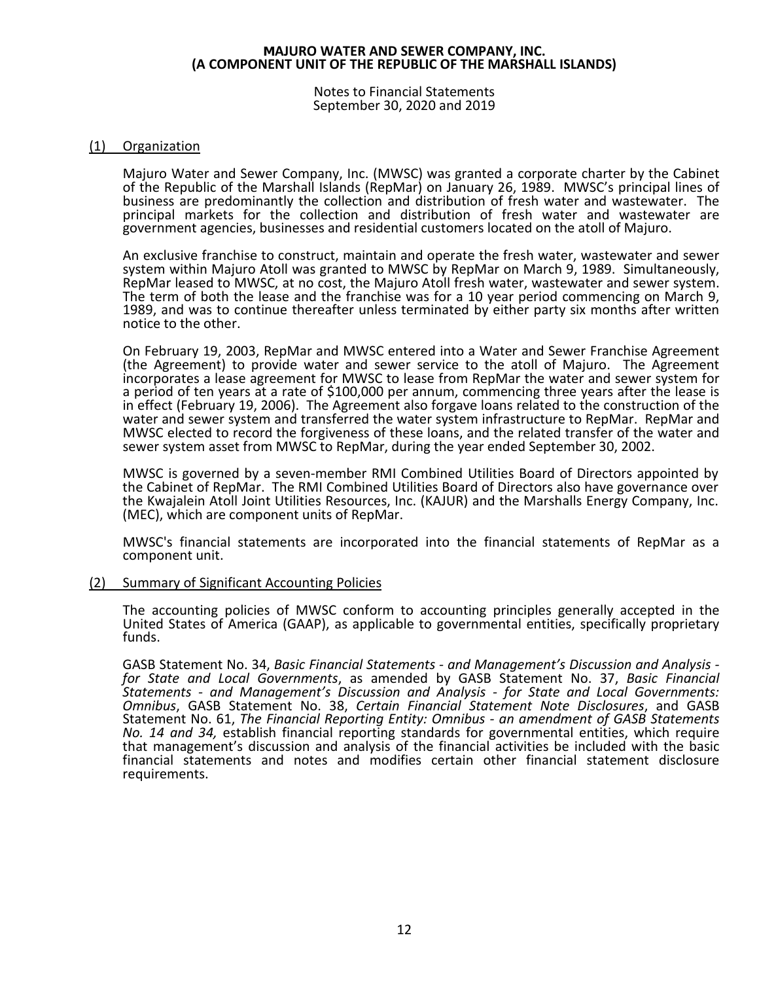Notes to Financial Statements September 30, 2020 and 2019

# (1) Organization

Majuro Water and Sewer Company, Inc. (MWSC) was granted a corporate charter by the Cabinet of the Republic of the Marshall Islands (RepMar) on January 26, 1989. MWSC's principal lines of business are predominantly the collection and distribution of fresh water and wastewater. The principal markets for the collection and distribution of fresh water and wastewater are government agencies, businesses and residential customers located on the atoll of Majuro.

An exclusive franchise to construct, maintain and operate the fresh water, wastewater and sewer system within Majuro Atoll was granted to MWSC by RepMar on March 9, 1989. Simultaneously, RepMar leased to MWSC, at no cost, the Majuro Atoll fresh water, wastewater and sewer system. The term of both the lease and the franchise was for a 10 year period commencing on March 9, 1989, and was to continue thereafter unless terminated by either party six months after written notice to the other.

On February 19, 2003, RepMar and MWSC entered into a Water and Sewer Franchise Agreement (the Agreement) to provide water and sewer service to the atoll of Majuro. The Agreement incorporates a lease agreement for MWSC to lease from RepMar the water and sewer system for a period of ten years at a rate of \$100,000 per annum, commencing three years after the lease is in effect (February 19, 2006). The Agreement also forgave loans related to the construction of the water and sewer system and transferred the water system infrastructure to RepMar. RepMar and MWSC elected to record the forgiveness of these loans, and the related transfer of the water and sewer system asset from MWSC to RepMar, during the year ended September 30, 2002.

MWSC is governed by a seven-member RMI Combined Utilities Board of Directors appointed by the Cabinet of RepMar. The RMI Combined Utilities Board of Directors also have governance over the Kwajalein Atoll Joint Utilities Resources, Inc. (KAJUR) and the Marshalls Energy Company, Inc. (MEC), which are component units of RepMar.

MWSC's financial statements are incorporated into the financial statements of RepMar as a component unit.

#### (2) Summary of Significant Accounting Policies

The accounting policies of MWSC conform to accounting principles generally accepted in the United States of America (GAAP), as applicable to governmental entities, specifically proprietary funds.

GASB Statement No. 34, *Basic Financial Statements - and Management's Discussion and Analysis - for State and Local Governments*, as amended by GASB Statement No. 37, *Basic Financial Statements - and Management's Discussion and Analysis - for State and Local Governments: Omnibus*, GASB Statement No. 38, *Certain Financial Statement Note Disclosures*, and GASB Statement No. 61, *The Financial Reporting Entity: Omnibus - an amendment of GASB Statements No. 14 and 34,* establish financial reporting standards for governmental entities, which require that management's discussion and analysis of the financial activities be included with the basic financial statements and notes and modifies certain other financial statement disclosure requirements.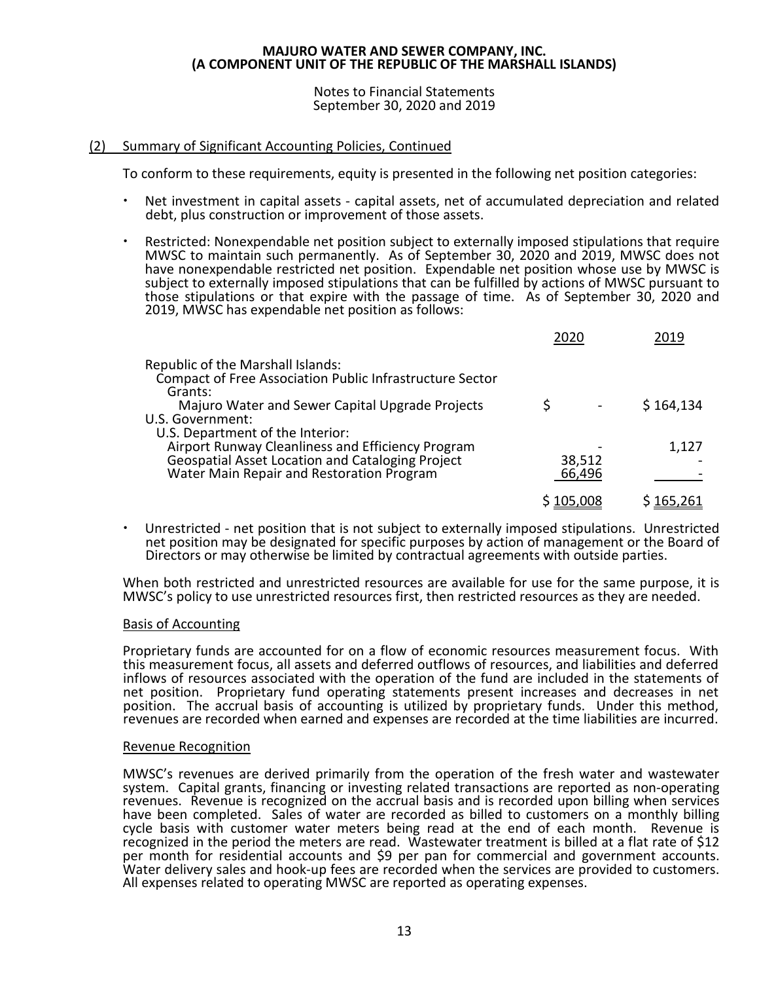Notes to Financial Statements September 30, 2020 and 2019

# (2) Summary of Significant Accounting Policies, Continued

To conform to these requirements, equity is presented in the following net position categories:

- Net investment in capital assets capital assets, net of accumulated depreciation and related debt, plus construction or improvement of those assets.
- Restricted: Nonexpendable net position subject to externally imposed stipulations that require MWSC to maintain such permanently. As of September 30, 2020 and 2019, MWSC does not have nonexpendable restricted net position. Expendable net position whose use by MWSC is subject to externally imposed stipulations that can be fulfilled by actions of MWSC pursuant to those stipulations or that expire with the passage of time. As of September 30, 2020 and 2019, MWSC has expendable net position as follows:

|                                                                                                                                                                                        |                  | 2019       |
|----------------------------------------------------------------------------------------------------------------------------------------------------------------------------------------|------------------|------------|
| Republic of the Marshall Islands:<br>Compact of Free Association Public Infrastructure Sector<br>Grants:                                                                               |                  |            |
| Majuro Water and Sewer Capital Upgrade Projects<br>U.S. Government:                                                                                                                    |                  | \$164,134  |
| U.S. Department of the Interior:<br>Airport Runway Cleanliness and Efficiency Program<br>Geospatial Asset Location and Cataloging Project<br>Water Main Repair and Restoration Program | 38,512<br>66,496 | 1,127      |
|                                                                                                                                                                                        | S <u>105,008</u> | \$ 165,261 |

 Unrestricted - net position that is not subject to externally imposed stipulations. Unrestricted net position may be designated for specific purposes by action of management or the Board of Directors or may otherwise be limited by contractual agreements with outside parties.

When both restricted and unrestricted resources are available for use for the same purpose, it is MWSC's policy to use unrestricted resources first, then restricted resources as they are needed.

#### Basis of Accounting

Proprietary funds are accounted for on a flow of economic resources measurement focus. With this measurement focus, all assets and deferred outflows of resources, and liabilities and deferred inflows of resources associated with the operation of the fund are included in the statements of net position. Proprietary fund operating statements present increases and decreases in net position. The accrual basis of accounting is utilized by proprietary funds. Under this method, revenues are recorded when earned and expenses are recorded at the time liabilities are incurred.

#### Revenue Recognition

MWSC's revenues are derived primarily from the operation of the fresh water and wastewater system. Capital grants, financing or investing related transactions are reported as non-operating revenues. Revenue is recognized on the accrual basis and is recorded upon billing when services have been completed. Sales of water are recorded as billed to customers on a monthly billing cycle basis with customer water meters being read at the end of each month. Revenue is recognized in the period the meters are read. Wastewater treatment is billed at a flat rate of \$12 per month for residential accounts and \$9 per pan for commercial and government accounts. Water delivery sales and hook-up fees are recorded when the services are provided to customers. All expenses related to operating MWSC are reported as operating expenses.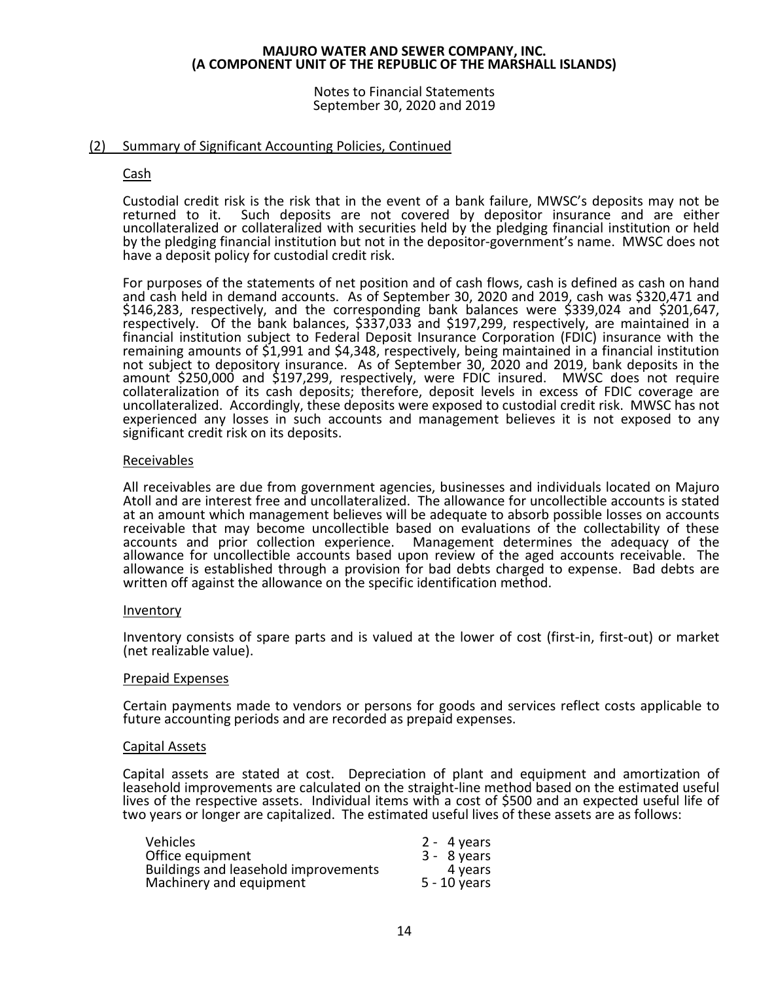Notes to Financial Statements September 30, 2020 and 2019

# (2) Summary of Significant Accounting Policies, Continued

#### Cash

Custodial credit risk is the risk that in the event of a bank failure, MWSC's deposits may not be returned to it. Such deposits are not covered by depositor insurance and are either uncollateralized or collateralized with securities held by the pledging financial institution or held by the pledging financial institution but not in the depositor-government's name. MWSC does not have a deposit policy for custodial credit risk.

For purposes of the statements of net position and of cash flows, cash is defined as cash on hand and cash held in demand accounts. As of September 30, 2020 and 2019, cash was \$320,471 and \$146,283, respectively, and the corresponding bank balances were \$339,024 and \$201,647, respectively. Of the bank balances, \$337,033 and \$197,299, respectively, are maintained in a financial institution subject to Federal Deposit Insurance Corporation (FDIC) insurance with the remaining amounts of \$1,991 and \$4,348, respectively, being maintained in a financial institution<br>not subject to depository insurance. As of September 30, 2020 and 2019, bank deposits in the not subject to depository insurance. As of September 30, 2020 and 2019, bank deposits in the<br>amount \$250,000 and \$197,299, respectively, were FDIC insured. MWSC does not require collateralization of its cash deposits; therefore, deposit levels in excess of FDIC coverage are uncollateralized. Accordingly, these deposits were exposed to custodial credit risk. MWSC has not experienced any losses in such accounts and management believes it is not exposed to any significant credit risk on its deposits.

#### **Receivables**

All receivables are due from government agencies, businesses and individuals located on Majuro Atoll and are interest free and uncollateralized. The allowance for uncollectible accounts is stated at an amount which management believes will be adequate to absorb possible losses on accounts receivable that may become uncollectible based on evaluations of the collectability of these accounts and prior collection experience. Management determines the adequacy of the allowance for uncollectible accounts based upon review of the aged accounts receivable. The allowance is established through a provision for bad debts charged to expense. Bad debts are written off against the allowance on the specific identification method.

#### Inventory

Inventory consists of spare parts and is valued at the lower of cost (first-in, first-out) or market (net realizable value).

#### Prepaid Expenses

Certain payments made to vendors or persons for goods and services reflect costs applicable to future accounting periods and are recorded as prepaid expenses.

#### Capital Assets

Capital assets are stated at cost. Depreciation of plant and equipment and amortization of leasehold improvements are calculated on the straight-line method based on the estimated useful lives of the respective assets. Individual items with a cost of \$500 and an expected useful life of two years or longer are capitalized. The estimated useful lives of these assets are as follows:

| $2 - 4$ years  |
|----------------|
| $3 - 8$ years  |
| 4 years        |
| $5 - 10$ years |
|                |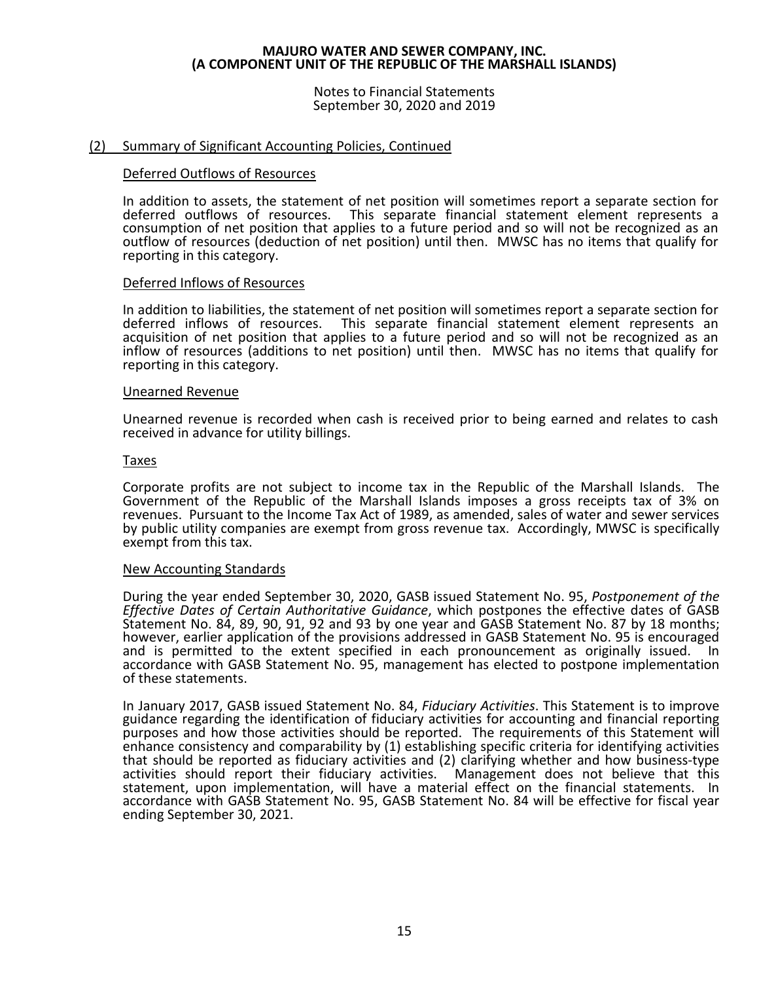Notes to Financial Statements September 30, 2020 and 2019

# (2) Summary of Significant Accounting Policies, Continued

#### Deferred Outflows of Resources

In addition to assets, the statement of net position will sometimes report a separate section for deferred outflows of resources. This separate financial statement element represents a This separate financial statement element represents a consumption of net position that applies to a future period and so will not be recognized as an outflow of resources (deduction of net position) until then. MWSC has no items that qualify for reporting in this category.

# Deferred Inflows of Resources

In addition to liabilities, the statement of net position will sometimes report a separate section for deferred inflows of resources. This separate financial statement element represents an acquisition of net position that applies to a future period and so will not be recognized as an inflow of resources (additions to net position) until then. MWSC has no items that qualify for reporting in this category.

#### Unearned Revenue

Unearned revenue is recorded when cash is received prior to being earned and relates to cash received in advance for utility billings.

#### Taxes

Corporate profits are not subject to income tax in the Republic of the Marshall Islands. The Government of the Republic of the Marshall Islands imposes a gross receipts tax of 3% on revenues. Pursuant to the Income Tax Act of 1989, as amended, sales of water and sewer services by public utility companies are exempt from gross revenue tax. Accordingly, MWSC is specifically exempt from this tax.

#### New Accounting Standards

During the year ended September 30, 2020, GASB issued Statement No. 95, *Postponement of the Effective Dates of Certain Authoritative Guidance*, which postpones the effective dates of GASB Statement No. 84, 89, 90, 91, 92 and 93 by one year and GASB Statement No. 87 by 18 months; however, earlier application of the provisions addressed in GASB Statement No. 95 is encouraged and is permitted to the extent specified in each pronouncement as originally issued. In accordance with GASB Statement No. 95, management has elected to postpone implementation of these statements.

In January 2017, GASB issued Statement No. 84, *Fiduciary Activities*. This Statement is to improve guidance regarding the identification of fiduciary activities for accounting and financial reporting purposes and how those activities should be reported. The requirements of this Statement will enhance consistency and comparability by (1) establishing specific criteria for identifying activities that should be reported as fiduciary activities and (2) clarifying whether and how business-type activities should report their fiduciary activities. Management does not believe that this statement, upon implementation, will have a material effect on the financial statements. In accordance with GASB Statement No. 95, GASB Statement No. 84 will be effective for fiscal year ending September 30, 2021.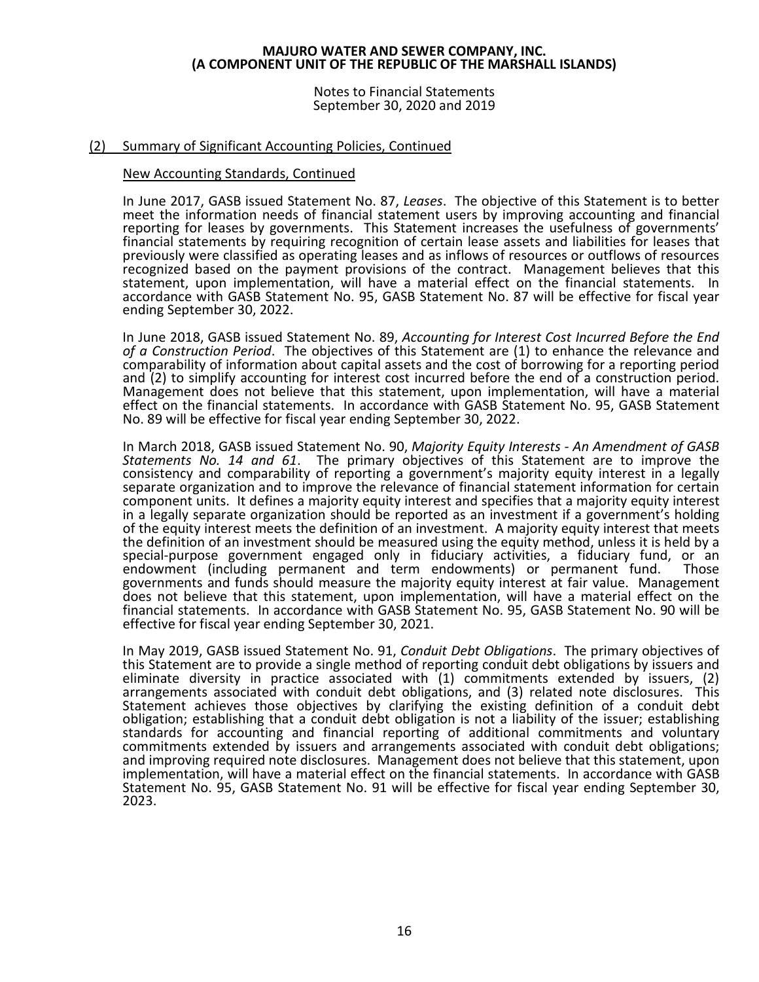Notes to Financial Statements September 30, 2020 and 2019

# (2) Summary of Significant Accounting Policies, Continued

#### New Accounting Standards, Continued

In June 2017, GASB issued Statement No. 87, *Leases*. The objective of this Statement is to better meet the information needs of financial statement users by improving accounting and financial reporting for leases by governments. This Statement increases the usefulness of governments' financial statements by requiring recognition of certain lease assets and liabilities for leases that previously were classified as operating leases and as inflows of resources or outflows of resources recognized based on the payment provisions of the contract. Management believes that this statement, upon implementation, will have a material effect on the financial statements. In accordance with GASB Statement No. 95, GASB Statement No. 87 will be effective for fiscal year ending September 30, 2022.

In June 2018, GASB issued Statement No. 89, *Accounting for Interest Cost Incurred Before the End of a Construction Period*. The objectives of this Statement are (1) to enhance the relevance and comparability of information about capital assets and the cost of borrowing for a reporting period and (2) to simplify accounting for interest cost incurred before the end of a construction period. Management does not believe that this statement, upon implementation, will have a material effect on the financial statements. In accordance with GASB Statement No. 95, GASB Statement No. 89 will be effective for fiscal year ending September 30, 2022.

In March 2018, GASB issued Statement No. 90, *Majority Equity Interests - An Amendment of GASB Statements No. 14 and 61*. The primary objectives of this Statement are to improve the consistency and comparability of reporting a government's majority equity interest in a legally separate organization and to improve the relevance of financial statement information for certain component units. It defines a majority equity interest and specifies that a majority equity interest in a legally separate organization should be reported as an investment if a government's holding of the equity interest meets the definition of an investment. A majority equity interest that meets the definition of an investment should be measured using the equity method, unless it is held by a special-purpose government engaged only in fiduciary activities, a fiduciary fund, or an endowment (including permanent and term endowments) or permanent fund. Those governments and funds should measure the majority equity interest at fair value. Management does not believe that this statement, upon implementation, will have a material effect on the financial statements. In accordance with GASB Statement No. 95, GASB Statement No. 90 will be effective for fiscal year ending September 30, 2021.

In May 2019, GASB issued Statement No. 91, *Conduit Debt Obligations*. The primary objectives of this Statement are to provide a single method of reporting conduit debt obligations by issuers and eliminate diversity in practice associated with (1) commitments extended by issuers, (2) arrangements associated with conduit debt obligations, and (3) related note disclosures. This Statement achieves those objectives by clarifying the existing definition of a conduit debt obligation; establishing that a conduit debt obligation is not a liability of the issuer; establishing standards for accounting and financial reporting of additional commitments and voluntary commitments extended by issuers and arrangements associated with conduit debt obligations; and improving required note disclosures. Management does not believe that this statement, upon implementation, will have a material effect on the financial statements. In accordance with GASB Statement No. 95, GASB Statement No. 91 will be effective for fiscal year ending September 30, 2023.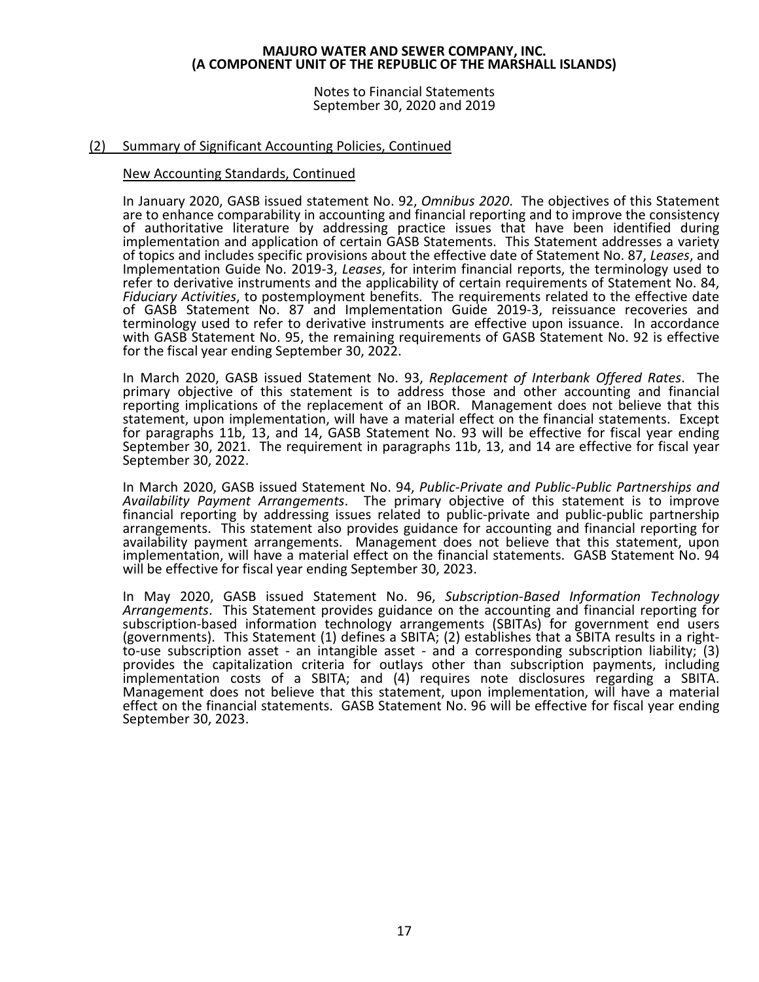Notes to Financial Statements September 30, 2020 and 2019

# (2) Summary of Significant Accounting Policies, Continued

#### New Accounting Standards, Continued

In January 2020, GASB issued statement No. 92, *Omnibus 2020*. The objectives of this Statement are to enhance comparability in accounting and financial reporting and to improve the consistency of authoritative literature by addressing practice issues that have been identified during implementation and application of certain GASB Statements. This Statement addresses a variety of topics and includes specific provisions about the effective date of Statement No. 87, *Leases*, and Implementation Guide No. 2019-3, *Leases*, for interim financial reports, the terminology used to refer to derivative instruments and the applicability of certain requirements of Statement No. 84, *Fiduciary Activities*, to postemployment benefits. The requirements related to the effective date of GASB Statement No. 87 and Implementation Guide 2019-3, reissuance recoveries and terminology used to refer to derivative instruments are effective upon issuance. In accordance with GASB Statement No. 95, the remaining requirements of GASB Statement No. 92 is effective for the fiscal year ending September 30, 2022.

In March 2020, GASB issued Statement No. 93, *Replacement of Interbank Offered Rates*. The primary objective of this statement is to address those and other accounting and financial reporting implications of the replacement of an IBOR. Management does not believe that this statement, upon implementation, will have a material effect on the financial statements. Except for paragraphs 11b, 13, and 14, GASB Statement No. 93 will be effective for fiscal year ending September 30, 2021. The requirement in paragraphs 11b, 13, and 14 are effective for fiscal year September 30, 2022.

In March 2020, GASB issued Statement No. 94, *Public-Private and Public-Public Partnerships and Availability Payment Arrangements*. The primary objective of this statement is to improve financial reporting by addressing issues related to public-private and public-public partnership arrangements. This statement also provides guidance for accounting and financial reporting for availability payment arrangements. Management does not believe that this statement, upon implementation, will have a material effect on the financial statements. GASB Statement No. 94 will be effective for fiscal year ending September 30, 2023.

In May 2020, GASB issued Statement No. 96, *Subscription-Based Information Technology Arrangements*. This Statement provides guidance on the accounting and financial reporting for subscription-based information technology arrangements (SBITAs) for government end users (governments). This Statement (1) defines a SBITA; (2) establishes that a SBITA results in a right-<br>to-use subscription asset - an intangible asset - and a corresponding subscription liability; (3) provides the capitalization criteria for outlays other than subscription payments, including implementation costs of a SBITA; and (4) requires note disclosures regarding a SBITA. Management does not believe that this statement, upon implementation, will have a material effect on the financial statements. GASB Statement No. 96 will be effective for fiscal year ending September 30, 2023.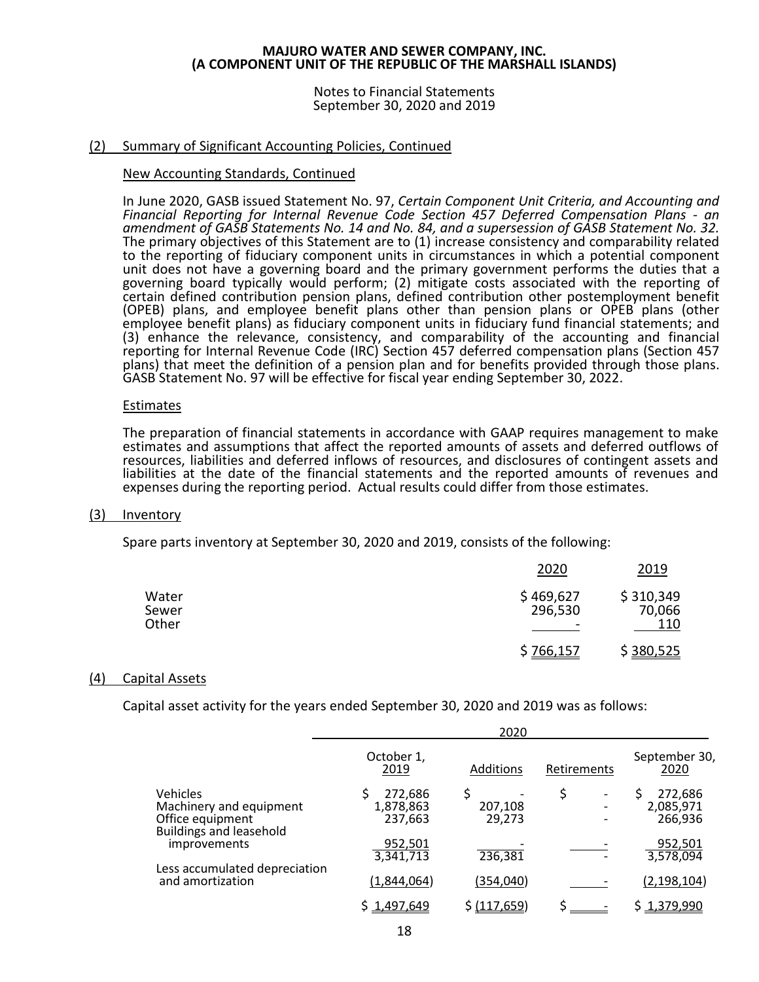Notes to Financial Statements September 30, 2020 and 2019

# (2) Summary of Significant Accounting Policies, Continued

#### New Accounting Standards, Continued

In June 2020, GASB issued Statement No. 97, *Certain Component Unit Criteria, and Accounting and Financial Reporting for Internal Revenue Code Section 457 Deferred Compensation Plans - an*  The primary objectives of this Statement are to (1) increase consistency and comparability related to the reporting of fiduciary component units in circumstances in which a potential component unit does not have a governing board and the primary government performs the duties that a governing board typically would perform; (2) mitigate costs associated with the reporting of certain defined contribution pension plans, defined contribution other postemployment benefit (OPEB) plans, and employee benefit plans other than pension plans or OPEB plans (other employee benefit plans) as fiduciary component units in fiduciary fund financial statements; and (3) enhance the relevance, consistency, and comparability of the accounting and financial reporting for Internal Revenue Code (IRC) Section 457 deferred compensation plans (Section 457 plans) that meet the definition of a pension plan and for benefits provided through those plans. GASB Statement No. 97 will be effective for fiscal year ending September 30, 2022.

#### Estimates

The preparation of financial statements in accordance with GAAP requires management to make estimates and assumptions that affect the reported amounts of assets and deferred outflows of resources, liabilities and deferred inflows of resources, and disclosures of contingent assets and liabilities at the date of the financial statements and the reported amounts of revenues and expenses during the reporting period. Actual results could differ from those estimates.

#### (3) Inventory

Spare parts inventory at September 30, 2020 and 2019, consists of the following:

|                         | 2020                                    | 2019                       |
|-------------------------|-----------------------------------------|----------------------------|
| Water<br>Sewer<br>Other | \$469,627<br>296,530<br>$\qquad \qquad$ | \$310,349<br>70,066<br>110 |
|                         | \$766,157                               | \$380,525                  |

#### (4) Capital Assets

Capital asset activity for the years ended September 30, 2020 and 2019 was as follows:

|                                                                                                                                                                |                                 | 2020              |             |                                      |
|----------------------------------------------------------------------------------------------------------------------------------------------------------------|---------------------------------|-------------------|-------------|--------------------------------------|
|                                                                                                                                                                | October 1,<br>2019              | Additions         | Retirements | September 30,<br>2020                |
| Vehicles<br>Machinery and equipment<br>Office equipment<br><b>Buildings and leasehold</b><br>improvements<br>Less accumulated depreciation<br>and amortization | 272,686<br>1,878,863<br>237,663 | 207,108<br>29,273 | \$          | Ś<br>272,686<br>2,085,971<br>266,936 |
|                                                                                                                                                                | 952,501<br>3,341,713            | 236,381           |             | 952,501<br>3,578,094                 |
|                                                                                                                                                                | (1,844,064)                     | (354,040)         |             | (2, 198, 104)                        |
|                                                                                                                                                                | \$1,497,649                     | \$ (117, 659)     |             | \$1,379,990                          |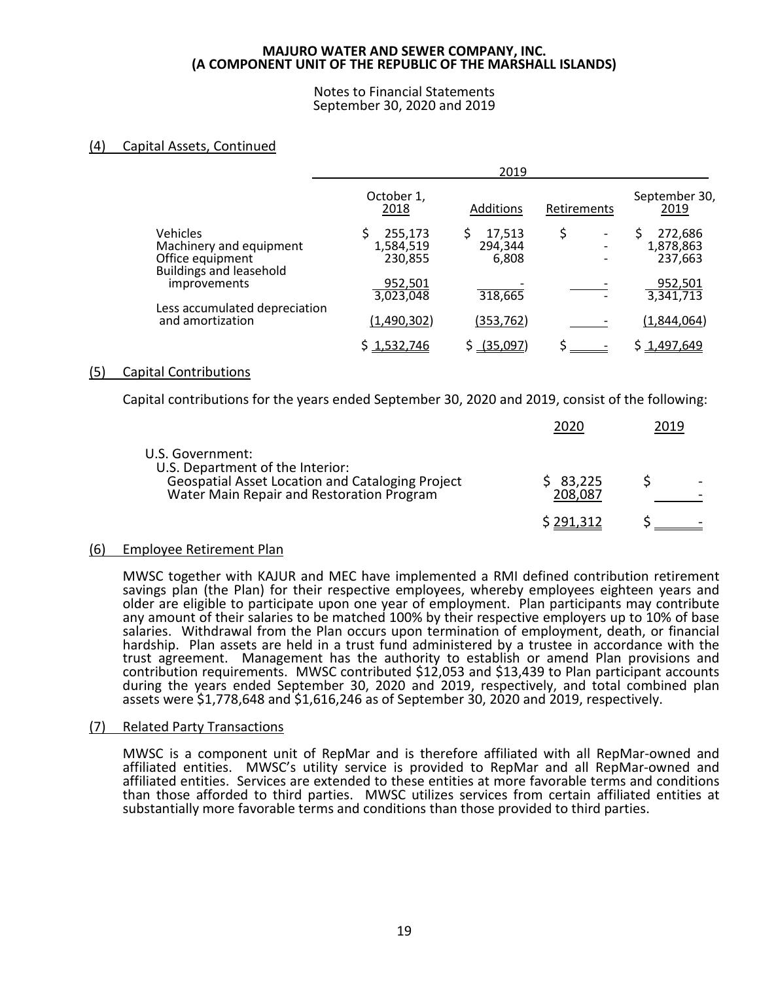# Notes to Financial Statements September 30, 2020 and 2019

# (4) Capital Assets, Continued

|                                                                                    |                                 | 2019                       |                                |                                       |
|------------------------------------------------------------------------------------|---------------------------------|----------------------------|--------------------------------|---------------------------------------|
|                                                                                    | October 1,<br>2018              | Additions                  | <b>Retirements</b>             | September 30,<br>2019                 |
| Vehicles<br>Machinery and equipment<br>Office equipment<br>Buildings and leasehold | 255,173<br>1,584,519<br>230,855 | 17,513<br>294,344<br>6,808 | \$<br>$\overline{\phantom{a}}$ | \$<br>272,686<br>1,878,863<br>237,663 |
| improvements                                                                       | 952,501<br>3,023,048            | 318,665                    |                                | 952,501<br>3,341,713                  |
| Less accumulated depreciation<br>and amortization                                  | (1,490,302)                     | (353, 762)                 |                                | (1,844,064)                           |
|                                                                                    | \$1,532,746                     | (35,097)                   |                                | \$1,497,649                           |

# (5) Capital Contributions

Capital contributions for the years ended September 30, 2020 and 2019, consist of the following:

|                                                                                                                                                       | 2020                | 2019 |
|-------------------------------------------------------------------------------------------------------------------------------------------------------|---------------------|------|
| U.S. Government:<br>U.S. Department of the Interior:<br>Geospatial Asset Location and Cataloging Project<br>Water Main Repair and Restoration Program | \$83,225<br>208,087 |      |
|                                                                                                                                                       | \$291,312           |      |

# (6) Employee Retirement Plan

MWSC together with KAJUR and MEC have implemented a RMI defined contribution retirement savings plan (the Plan) for their respective employees, whereby employees eighteen years and older are eligible to participate upon one year of employment. Plan participants may contribute any amount of their salaries to be matched 100% by their respective employers up to 10% of base salaries. Withdrawal from the Plan occurs upon termination of employment, death, or financial hardship. Plan assets are held in a trust fund administered by a trustee in accordance with the trust agreement. Management has the authority to establish or amend Plan provisions and contribution requirements. MWSC contributed \$12,053 and \$13,439 to Plan participant accounts during the years ended September 30, 2020 and 2019, respectively, and total combined plan assets were \$1,778,648 and \$1,616,246 as of September 30, 2020 and 2019, respectively.

# (7) Related Party Transactions

MWSC is a component unit of RepMar and is therefore affiliated with all RepMar-owned and affiliated entities. MWSC's utility service is provided to RepMar and all RepMar-owned and affiliated entities. Services are extended to these entities at more favorable terms and conditions than those afforded to third parties. MWSC utilizes services from certain affiliated entities at substantially more favorable terms and conditions than those provided to third parties.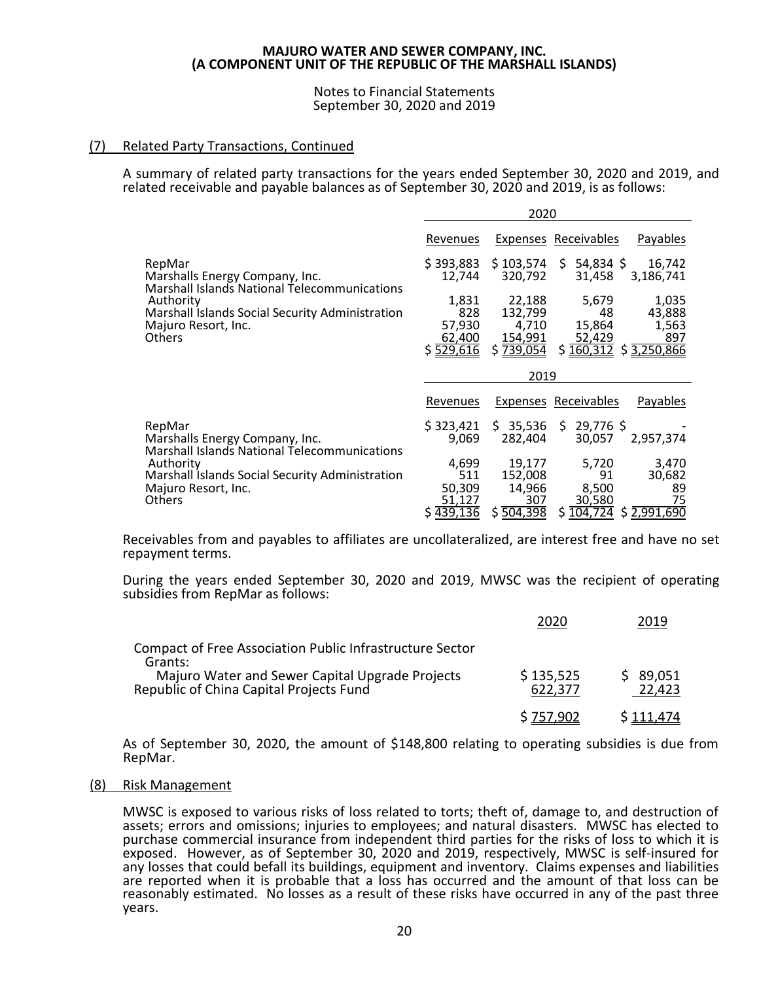#### Notes to Financial Statements September 30, 2020 and 2019

# (7) Related Party Transactions, Continued

A summary of related party transactions for the years ended September 30, 2020 and 2019, and related receivable and payable balances as of September 30, 2020 and 2019, is as follows:

|                                                                                                                                                                                                  | 2020                                          |                                                    |                                                                                                |
|--------------------------------------------------------------------------------------------------------------------------------------------------------------------------------------------------|-----------------------------------------------|----------------------------------------------------|------------------------------------------------------------------------------------------------|
|                                                                                                                                                                                                  | Revenues                                      |                                                    | Expenses Receivables<br>Payables                                                               |
| RepMar<br>Marshalls Energy Company, Inc.<br>Marshall Islands National Telecommunications<br>Authority<br>Marshall Islands Social Security Administration<br>Majuro Resort, Inc.<br><b>Others</b> | \$393,883<br>12,744                           | 320,792                                            | $$103,574 \t$54,834 \t$$<br>16,742<br>31,458<br>3,186,741                                      |
|                                                                                                                                                                                                  | 1,831<br>828<br>57,930<br>62,400<br>\$529.616 | 22,188<br>132,799<br>4,710<br>154,991<br>\$739,054 | 5,679<br>1,035<br>43,888<br>48<br>15,864<br>1,563<br>897<br>52,429<br>\$3,250,866<br>\$160,312 |
|                                                                                                                                                                                                  |                                               | 2019                                               |                                                                                                |
|                                                                                                                                                                                                  | Revenues                                      |                                                    | Expenses Receivables<br>Payables                                                               |
| RepMar<br>Marshalls Energy Company, Inc.                                                                                                                                                         | \$323,421                                     | $$35,536$ \$ 29,776 \$                             |                                                                                                |
|                                                                                                                                                                                                  | 9,069                                         | 282,404                                            | 30,057<br>2,957,374                                                                            |
| <b>Marshall Islands National Telecommunications</b><br>Authority<br>Marshall Islands Social Security Administration<br>Majuro Resort, Inc.<br><b>Others</b>                                      | 4,699<br>511<br>50,309<br>51,127              | 19,177<br>152,008<br>14,966<br>307                 | 5,720<br>3,470<br>91<br>30,682<br>8,500<br>89<br>75<br>30,580                                  |

Receivables from and payables to affiliates are uncollateralized, are interest free and have no set repayment terms.

During the years ended September 30, 2020 and 2019, MWSC was the recipient of operating subsidies from RepMar as follows:

|                                                                                            | 2020                 | 2019              |
|--------------------------------------------------------------------------------------------|----------------------|-------------------|
| <b>Compact of Free Association Public Infrastructure Sector</b><br>Grants:                 |                      |                   |
| Majuro Water and Sewer Capital Upgrade Projects<br>Republic of China Capital Projects Fund | \$135,525<br>622,377 | 89,051<br>22,423  |
|                                                                                            | <u>757,902</u>       | <u> 5 111,474</u> |

As of September 30, 2020, the amount of \$148,800 relating to operating subsidies is due from RepMar.

(8) Risk Management

MWSC is exposed to various risks of loss related to torts; theft of, damage to, and destruction of assets; errors and omissions; injuries to employees; and natural disasters. MWSC has elected to purchase commercial insurance from independent third parties for the risks of loss to which it is exposed. However, as of September 30, 2020 and 2019, respectively, MWSC is self-insured for any losses that could befall its buildings, equipment and inventory. Claims expenses and liabilities are reported when it is probable that a loss has occurred and the amount of that loss can be reasonably estimated. No losses as a result of these risks have occurred in any of the past three years.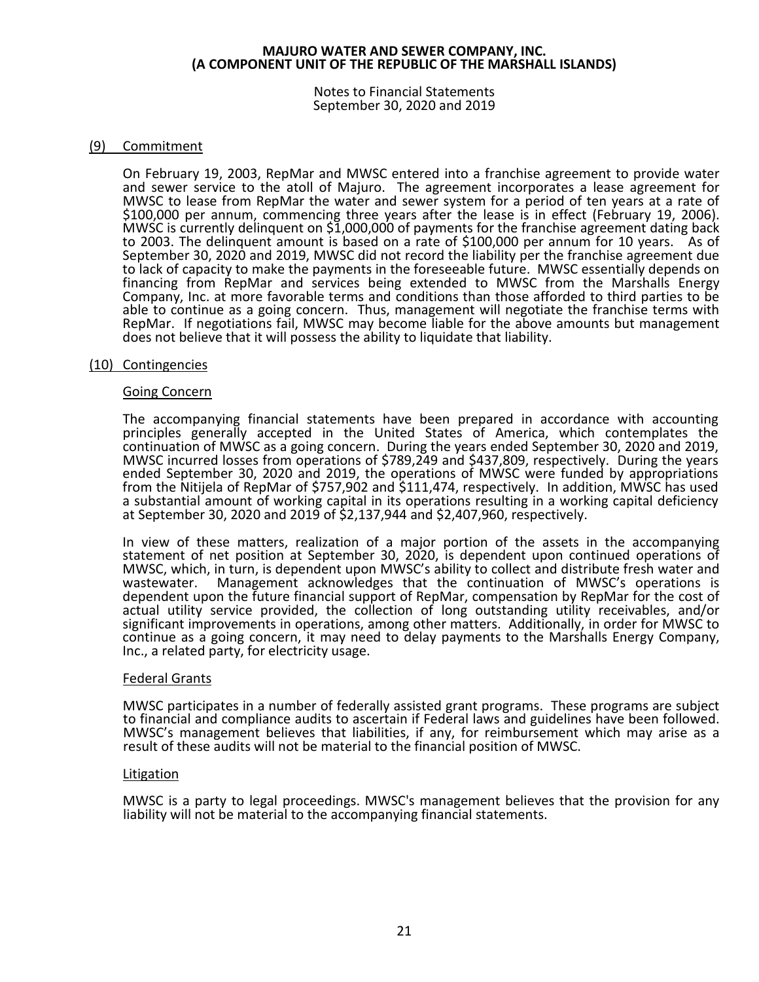Notes to Financial Statements September 30, 2020 and 2019

# (9) Commitment

On February 19, 2003, RepMar and MWSC entered into a franchise agreement to provide water and sewer service to the atoll of Majuro. The agreement incorporates a lease agreement for MWSC to lease from RepMar the water and sewer system for a period of ten years at a rate of \$100,000 per annum, commencing three years after the lease is in effect (February 19, 2006). MWSC is currently delinquent on \$1,000,000 of payments for the franchise agreement dating back to 2003. The delinquent amount is based on a rate of \$100,000 per annum for 10 years. As of September 30, 2020 and 2019, MWSC did not record the liability per the franchise agreement due to lack of capacity to make the payments in the foreseeable future. MWSC essentially depends on financing from RepMar and services being extended to MWSC from the Marshalls Energy Company, Inc. at more favorable terms and conditions than those afforded to third parties to be able to continue as a going concern. Thus, management will negotiate the franchise terms with RepMar. If negotiations fail, MWSC may become liable for the above amounts but management does not believe that it will possess the ability to liquidate that liability.

# (10) Contingencies

# Going Concern

The accompanying financial statements have been prepared in accordance with accounting principles generally accepted in the United States of America, which contemplates the continuation of MWSC as a going concern. During the years ended September 30, 2020 and 2019, MWSC incurred losses from operations of \$789,249 and \$437,809, respectively. During the years ended September 30, 2020 and 2019, the operations of MWSC were funded by appropriations from the Nitijela of RepMar of \$757,902 and \$111,474, respectively. In addition, MWSC has used a substantial amount of working capital in its operations resulting in a working capital deficiency at September 30, 2020 and 2019 of \$2,137,944 and \$2,407,960, respectively.

In view of these matters, realization of a major portion of the assets in the accompanying statement of net position at September 30, 2020, is dependent upon continued operations of MWSC, which, in turn, is dependent upon MWSC's ability to collect and distribute fresh water and wastewater. Management acknowledges that the continuation of MWSC's operations is dependent upon the future financial support of RepMar, compensation by RepMar for the cost of actual utility service provided, the collection of long outstanding utility receivables, and/or significant improvements in operations, among other matters. Additionally, in order for MWSC to continue as a going concern, it may need to delay payments to the Marshalls Energy Company, Inc., a related party, for electricity usage.

#### Federal Grants

MWSC participates in a number of federally assisted grant programs. These programs are subject to financial and compliance audits to ascertain if Federal laws and guidelines have been followed. MWSC's management believes that liabilities, if any, for reimbursement which may arise as a result of these audits will not be material to the financial position of MWSC.

#### Litigation

MWSC is a party to legal proceedings. MWSC's management believes that the provision for any liability will not be material to the accompanying financial statements.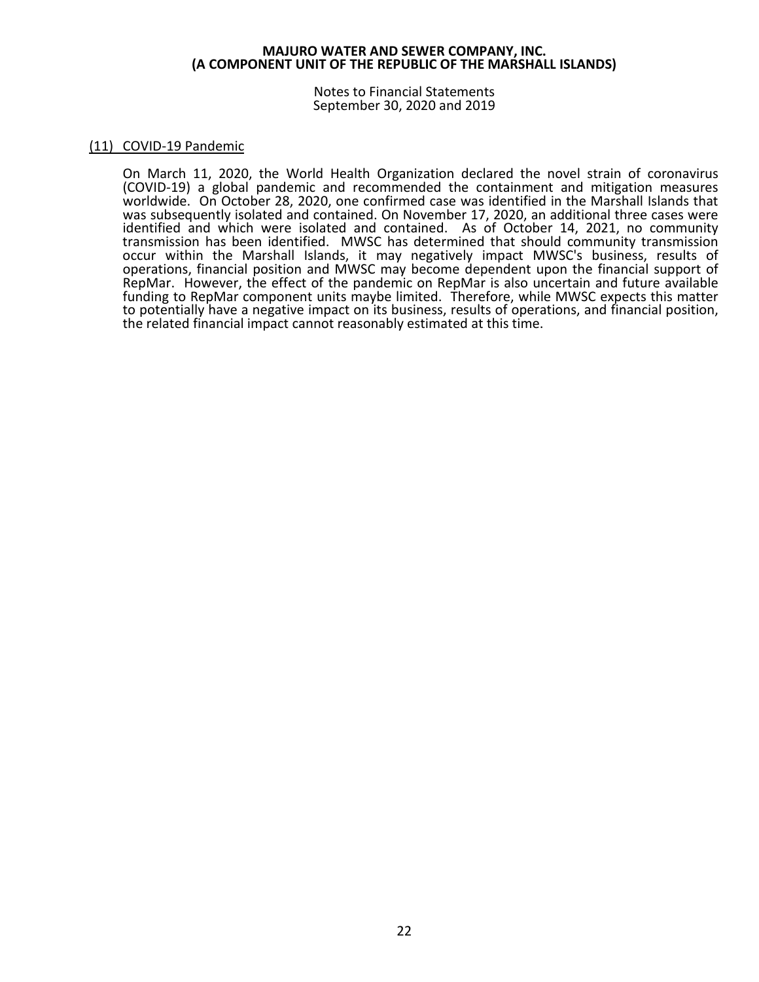Notes to Financial Statements September 30, 2020 and 2019

# (11) COVID-19 Pandemic

On March 11, 2020, the World Health Organization declared the novel strain of coronavirus (COVID-19) a global pandemic and recommended the containment and mitigation measures worldwide. On October 28, 2020, one confirmed case was identified in the Marshall Islands that was subsequently isolated and contained. On November 17, 2020, an additional three cases were identified and which were isolated and contained. As of October 14, 2021, no community transmission has been identified. MWSC has determined that should community transmission occur within the Marshall Islands, it may negatively impact MWSC's business, results of operations, financial position and MWSC may become dependent upon the financial support of RepMar. However, the effect of the pandemic on RepMar is also uncertain and future available funding to RepMar component units maybe limited. Therefore, while MWSC expects this matter to potentially have a negative impact on its business, results of operations, and financial position, the related financial impact cannot reasonably estimated at this time.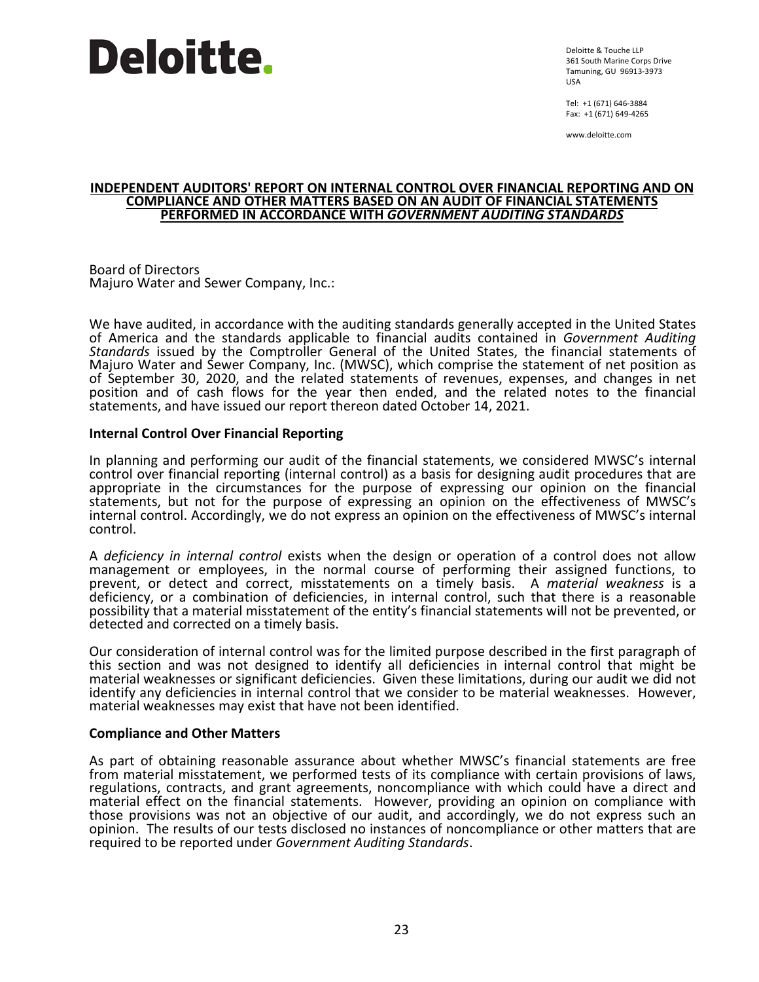

Deloitte & Touche LLP 361 South Marine Corps Drive Tamuning, GU 96913-3973 USA

Tel: +1 (671) 646-3884 Fax: +1 (671) 649-4265

www.deloitte.com

#### **INDEPENDENT AUDITORS' REPORT ON INTERNAL CONTROL OVER FINANCIAL REPORTING AND ON COMPLIANCE AND OTHER MATTERS BASED ON AN AUDIT OF FINANCIAL STATEMENTS PERFORMED IN ACCORDANCE WITH** *GOVERNMENT AUDITING STANDARDS*

Board of Directors Majuro Water and Sewer Company, Inc.:

We have audited, in accordance with the auditing standards generally accepted in the United States of America and the standards applicable to financial audits contained in *Government Auditing Standards* issued by the Comptroller General of the United States, the financial statements of Majuro Water and Sewer Company, Inc. (MWSC), which comprise the statement of net position as of September 30, 2020, and the related statements of revenues, expenses, and changes in net position and of cash flows for the year then ended, and the related notes to the financial statements, and have issued our report thereon dated October 14, 2021.

# **Internal Control Over Financial Reporting**

In planning and performing our audit of the financial statements, we considered MWSC's internal control over financial reporting (internal control) as a basis for designing audit procedures that are appropriate in the circumstances for the purpose of expressing our opinion on the financial statements, but not for the purpose of expressing an opinion on the effectiveness of MWSC's internal control. Accordingly, we do not express an opinion on the effectiveness of MWSC's internal control.

A *deficiency in internal control* exists when the design or operation of a control does not allow management or employees, in the normal course of performing their assigned functions, to prevent, or detect and correct, misstatements on a timely basis. A *material weakness* is a deficiency, or a combination of deficiencies, in internal control, such that there is a reasonable possibility that a material misstatement of the entity's financial statements will not be prevented, or detected and corrected on a timely basis.

Our consideration of internal control was for the limited purpose described in the first paragraph of this section and was not designed to identify all deficiencies in internal control that might be material weaknesses or significant deficiencies. Given these limitations, during our audit we did not identify any deficiencies in internal control that we consider to be material weaknesses. However, material weaknesses may exist that have not been identified.

#### **Compliance and Other Matters**

As part of obtaining reasonable assurance about whether MWSC's financial statements are free from material misstatement, we performed tests of its compliance with certain provisions of laws, regulations, contracts, and grant agreements, noncompliance with which could have a direct and material effect on the financial statements. However, providing an opinion on compliance with those provisions was not an objective of our audit, and accordingly, we do not express such an opinion. The results of our tests disclosed no instances of noncompliance or other matters that are required to be reported under *Government Auditing Standards*.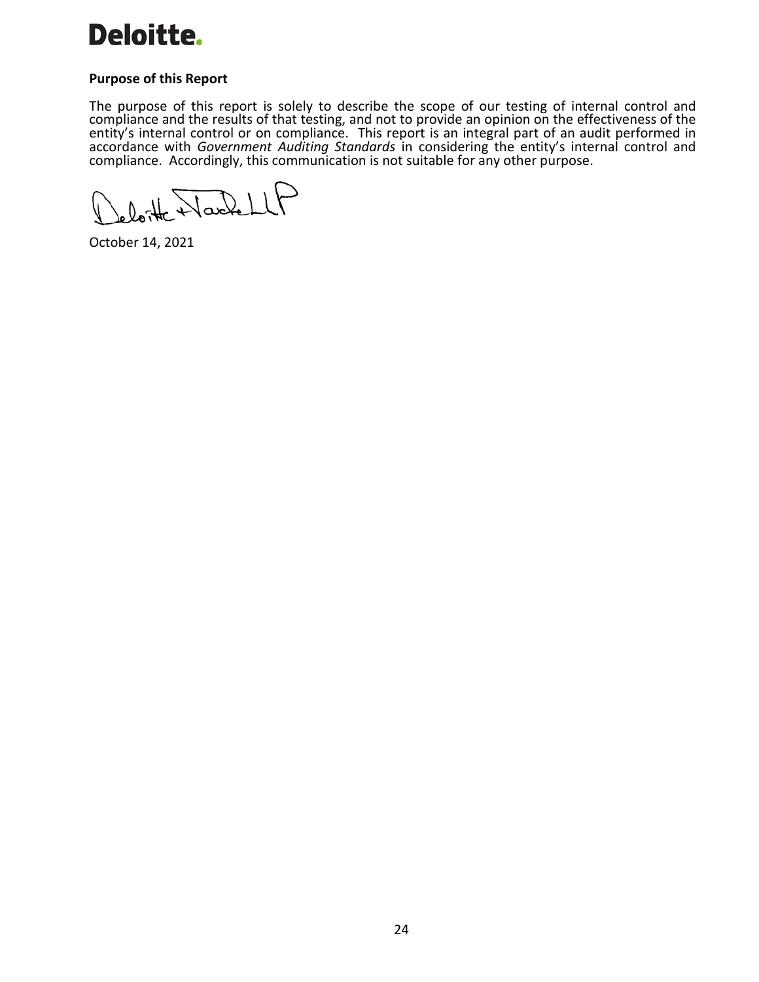

# **Purpose of this Report**

The purpose of this report is solely to describe the scope of our testing of internal control and compliance and the results of that testing, and not to provide an opinion on the effectiveness of the entity's internal control or on compliance. This report is an integral part of an audit performed in accordance with *Government Auditing Standards* in considering the entity's internal control and compliance. Accordingly, this communication is not suitable for any other purpose.

loith Nachell

October 14, 2021